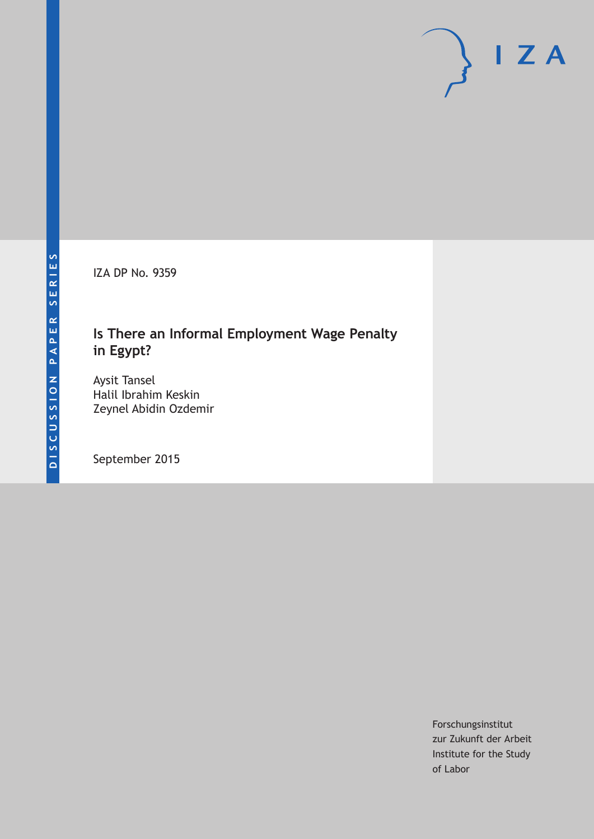IZA DP No. 9359

## **Is There an Informal Employment Wage Penalty in Egypt?**

Aysit Tansel Halil Ibrahim Keskin Zeynel Abidin Ozdemir

September 2015

Forschungsinstitut zur Zukunft der Arbeit Institute for the Study of Labor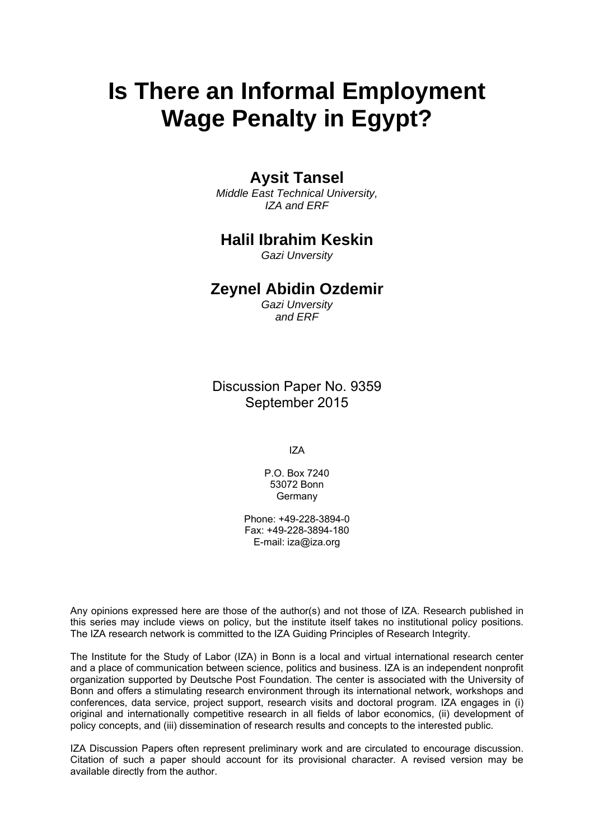# **Is There an Informal Employment Wage Penalty in Egypt?**

### **Aysit Tansel**

*Middle East Technical University, IZA and ERF* 

### **Halil Ibrahim Keskin**

*Gazi Unversity* 

### **Zeynel Abidin Ozdemir**

*Gazi Unversity and ERF*

Discussion Paper No. 9359 September 2015

IZA

P.O. Box 7240 53072 Bonn **Germany** 

Phone: +49-228-3894-0 Fax: +49-228-3894-180 E-mail: iza@iza.org

Any opinions expressed here are those of the author(s) and not those of IZA. Research published in this series may include views on policy, but the institute itself takes no institutional policy positions. The IZA research network is committed to the IZA Guiding Principles of Research Integrity.

The Institute for the Study of Labor (IZA) in Bonn is a local and virtual international research center and a place of communication between science, politics and business. IZA is an independent nonprofit organization supported by Deutsche Post Foundation. The center is associated with the University of Bonn and offers a stimulating research environment through its international network, workshops and conferences, data service, project support, research visits and doctoral program. IZA engages in (i) original and internationally competitive research in all fields of labor economics, (ii) development of policy concepts, and (iii) dissemination of research results and concepts to the interested public.

IZA Discussion Papers often represent preliminary work and are circulated to encourage discussion. Citation of such a paper should account for its provisional character. A revised version may be available directly from the author.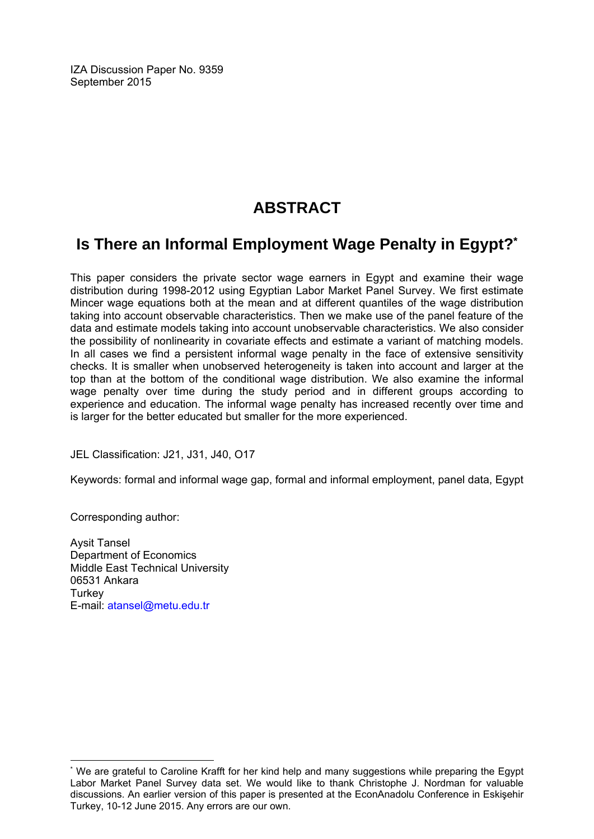IZA Discussion Paper No. 9359 September 2015

# **ABSTRACT**

# **Is There an Informal Employment Wage Penalty in Egypt?\***

This paper considers the private sector wage earners in Egypt and examine their wage distribution during 1998-2012 using Egyptian Labor Market Panel Survey. We first estimate Mincer wage equations both at the mean and at different quantiles of the wage distribution taking into account observable characteristics. Then we make use of the panel feature of the data and estimate models taking into account unobservable characteristics. We also consider the possibility of nonlinearity in covariate effects and estimate a variant of matching models. In all cases we find a persistent informal wage penalty in the face of extensive sensitivity checks. It is smaller when unobserved heterogeneity is taken into account and larger at the top than at the bottom of the conditional wage distribution. We also examine the informal wage penalty over time during the study period and in different groups according to experience and education. The informal wage penalty has increased recently over time and is larger for the better educated but smaller for the more experienced.

JEL Classification: J21, J31, J40, O17

Keywords: formal and informal wage gap, formal and informal employment, panel data, Egypt

Corresponding author:

 $\overline{a}$ 

Aysit Tansel Department of Economics Middle East Technical University 06531 Ankara **Turkey** E-mail: atansel@metu.edu.tr

<sup>\*</sup> We are grateful to Caroline Krafft for her kind help and many suggestions while preparing the Egypt Labor Market Panel Survey data set. We would like to thank Christophe J. Nordman for valuable discussions. An earlier version of this paper is presented at the EconAnadolu Conference in Eskişehir Turkey, 10-12 June 2015. Any errors are our own.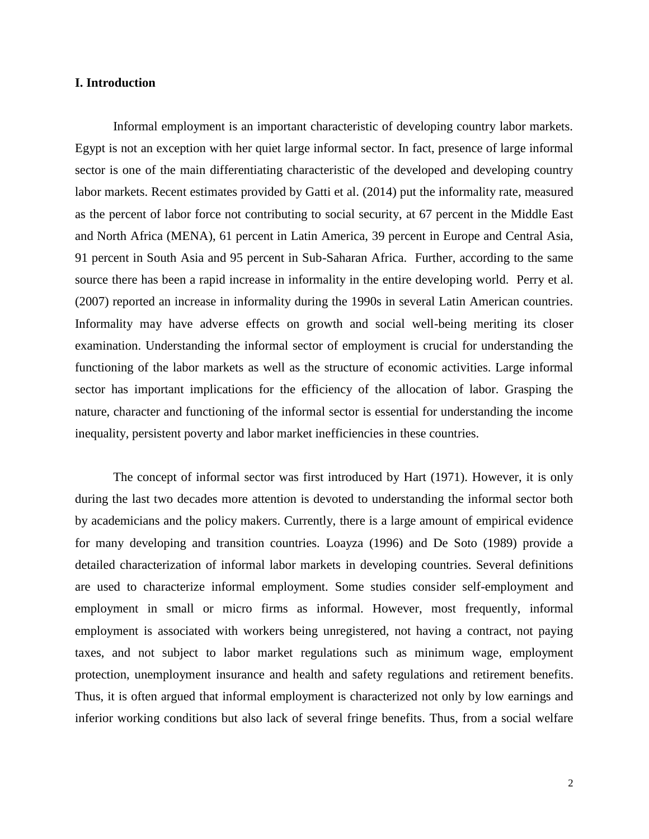### **I. Introduction**

Informal employment is an important characteristic of developing country labor markets. Egypt is not an exception with her quiet large informal sector. In fact, presence of large informal sector is one of the main differentiating characteristic of the developed and developing country labor markets. Recent estimates provided by Gatti et al. (2014) put the informality rate, measured as the percent of labor force not contributing to social security, at 67 percent in the Middle East and North Africa (MENA), 61 percent in Latin America, 39 percent in Europe and Central Asia, 91 percent in South Asia and 95 percent in Sub-Saharan Africa. Further, according to the same source there has been a rapid increase in informality in the entire developing world. Perry et al. (2007) reported an increase in informality during the 1990s in several Latin American countries. Informality may have adverse effects on growth and social well-being meriting its closer examination. Understanding the informal sector of employment is crucial for understanding the functioning of the labor markets as well as the structure of economic activities. Large informal sector has important implications for the efficiency of the allocation of labor. Grasping the nature, character and functioning of the informal sector is essential for understanding the income inequality, persistent poverty and labor market inefficiencies in these countries.

The concept of informal sector was first introduced by Hart (1971). However, it is only during the last two decades more attention is devoted to understanding the informal sector both by academicians and the policy makers. Currently, there is a large amount of empirical evidence for many developing and transition countries. Loayza (1996) and De Soto (1989) provide a detailed characterization of informal labor markets in developing countries. Several definitions are used to characterize informal employment. Some studies consider self-employment and employment in small or micro firms as informal. However, most frequently, informal employment is associated with workers being unregistered, not having a contract, not paying taxes, and not subject to labor market regulations such as minimum wage, employment protection, unemployment insurance and health and safety regulations and retirement benefits. Thus, it is often argued that informal employment is characterized not only by low earnings and inferior working conditions but also lack of several fringe benefits. Thus, from a social welfare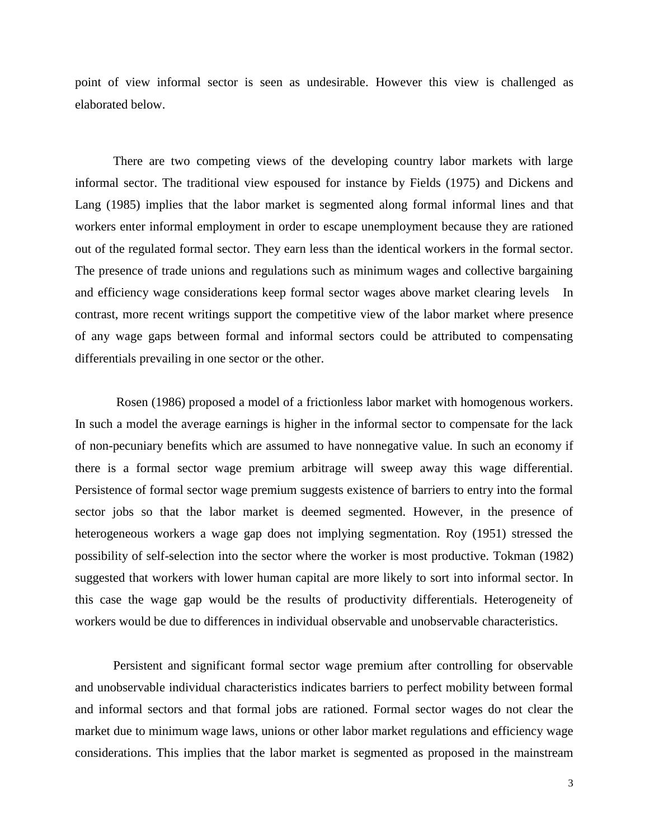point of view informal sector is seen as undesirable. However this view is challenged as elaborated below.

There are two competing views of the developing country labor markets with large informal sector. The traditional view espoused for instance by Fields (1975) and Dickens and Lang (1985) implies that the labor market is segmented along formal informal lines and that workers enter informal employment in order to escape unemployment because they are rationed out of the regulated formal sector. They earn less than the identical workers in the formal sector. The presence of trade unions and regulations such as minimum wages and collective bargaining and efficiency wage considerations keep formal sector wages above market clearing levels In contrast, more recent writings support the competitive view of the labor market where presence of any wage gaps between formal and informal sectors could be attributed to compensating differentials prevailing in one sector or the other.

Rosen (1986) proposed a model of a frictionless labor market with homogenous workers. In such a model the average earnings is higher in the informal sector to compensate for the lack of non-pecuniary benefits which are assumed to have nonnegative value. In such an economy if there is a formal sector wage premium arbitrage will sweep away this wage differential. Persistence of formal sector wage premium suggests existence of barriers to entry into the formal sector jobs so that the labor market is deemed segmented. However, in the presence of heterogeneous workers a wage gap does not implying segmentation. Roy (1951) stressed the possibility of self-selection into the sector where the worker is most productive. Tokman (1982) suggested that workers with lower human capital are more likely to sort into informal sector. In this case the wage gap would be the results of productivity differentials. Heterogeneity of workers would be due to differences in individual observable and unobservable characteristics.

Persistent and significant formal sector wage premium after controlling for observable and unobservable individual characteristics indicates barriers to perfect mobility between formal and informal sectors and that formal jobs are rationed. Formal sector wages do not clear the market due to minimum wage laws, unions or other labor market regulations and efficiency wage considerations. This implies that the labor market is segmented as proposed in the mainstream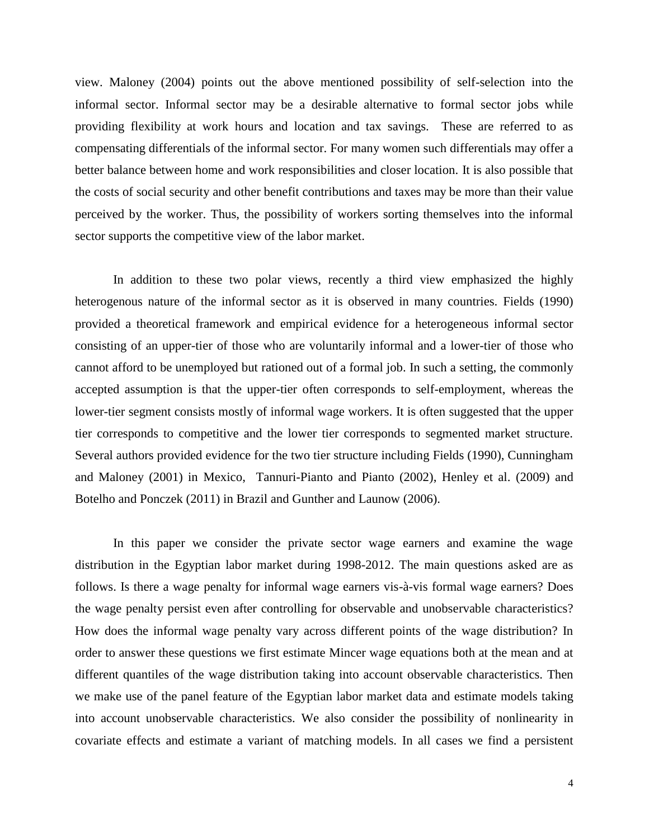view. Maloney (2004) points out the above mentioned possibility of self-selection into the informal sector. Informal sector may be a desirable alternative to formal sector jobs while providing flexibility at work hours and location and tax savings. These are referred to as compensating differentials of the informal sector. For many women such differentials may offer a better balance between home and work responsibilities and closer location. It is also possible that the costs of social security and other benefit contributions and taxes may be more than their value perceived by the worker. Thus, the possibility of workers sorting themselves into the informal sector supports the competitive view of the labor market.

In addition to these two polar views, recently a third view emphasized the highly heterogenous nature of the informal sector as it is observed in many countries. Fields (1990) provided a theoretical framework and empirical evidence for a heterogeneous informal sector consisting of an upper-tier of those who are voluntarily informal and a lower-tier of those who cannot afford to be unemployed but rationed out of a formal job. In such a setting, the commonly accepted assumption is that the upper-tier often corresponds to self-employment, whereas the lower-tier segment consists mostly of informal wage workers. It is often suggested that the upper tier corresponds to competitive and the lower tier corresponds to segmented market structure. Several authors provided evidence for the two tier structure including Fields (1990), Cunningham and Maloney (2001) in Mexico, Tannuri-Pianto and Pianto (2002), Henley et al. (2009) and Botelho and Ponczek (2011) in Brazil and Gunther and Launow (2006).

In this paper we consider the private sector wage earners and examine the wage distribution in the Egyptian labor market during 1998-2012. The main questions asked are as follows. Is there a wage penalty for informal wage earners vis-à-vis formal wage earners? Does the wage penalty persist even after controlling for observable and unobservable characteristics? How does the informal wage penalty vary across different points of the wage distribution? In order to answer these questions we first estimate Mincer wage equations both at the mean and at different quantiles of the wage distribution taking into account observable characteristics. Then we make use of the panel feature of the Egyptian labor market data and estimate models taking into account unobservable characteristics. We also consider the possibility of nonlinearity in covariate effects and estimate a variant of matching models. In all cases we find a persistent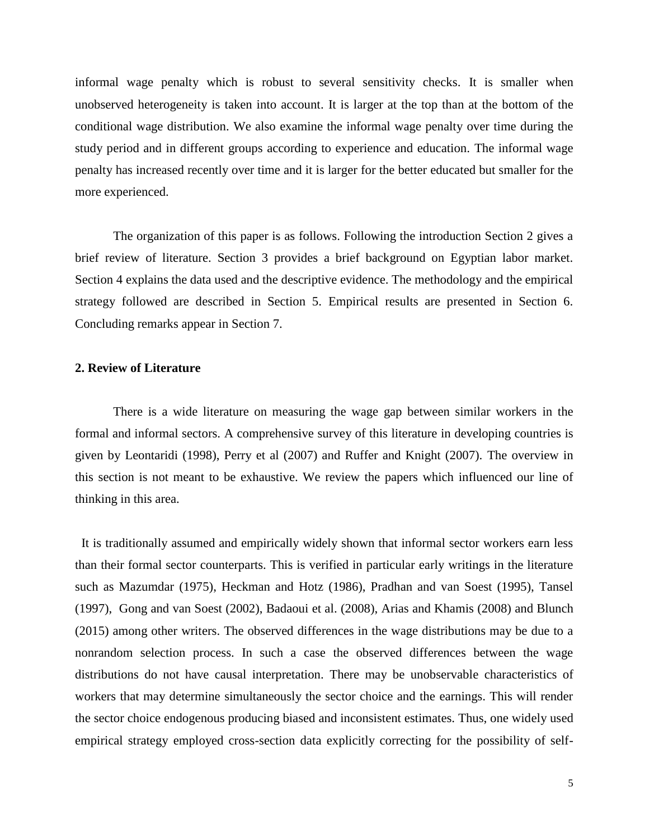informal wage penalty which is robust to several sensitivity checks. It is smaller when unobserved heterogeneity is taken into account. It is larger at the top than at the bottom of the conditional wage distribution. We also examine the informal wage penalty over time during the study period and in different groups according to experience and education. The informal wage penalty has increased recently over time and it is larger for the better educated but smaller for the more experienced.

The organization of this paper is as follows. Following the introduction Section 2 gives a brief review of literature. Section 3 provides a brief background on Egyptian labor market. Section 4 explains the data used and the descriptive evidence. The methodology and the empirical strategy followed are described in Section 5. Empirical results are presented in Section 6. Concluding remarks appear in Section 7.

### **2. Review of Literature**

There is a wide literature on measuring the wage gap between similar workers in the formal and informal sectors. A comprehensive survey of this literature in developing countries is given by Leontaridi (1998), Perry et al (2007) and Ruffer and Knight (2007). The overview in this section is not meant to be exhaustive. We review the papers which influenced our line of thinking in this area.

It is traditionally assumed and empirically widely shown that informal sector workers earn less than their formal sector counterparts. This is verified in particular early writings in the literature such as Mazumdar (1975), Heckman and Hotz (1986), Pradhan and van Soest (1995), Tansel (1997), Gong and van Soest (2002), Badaoui et al. (2008), Arias and Khamis (2008) and Blunch (2015) among other writers. The observed differences in the wage distributions may be due to a nonrandom selection process. In such a case the observed differences between the wage distributions do not have causal interpretation. There may be unobservable characteristics of workers that may determine simultaneously the sector choice and the earnings. This will render the sector choice endogenous producing biased and inconsistent estimates. Thus, one widely used empirical strategy employed cross-section data explicitly correcting for the possibility of self-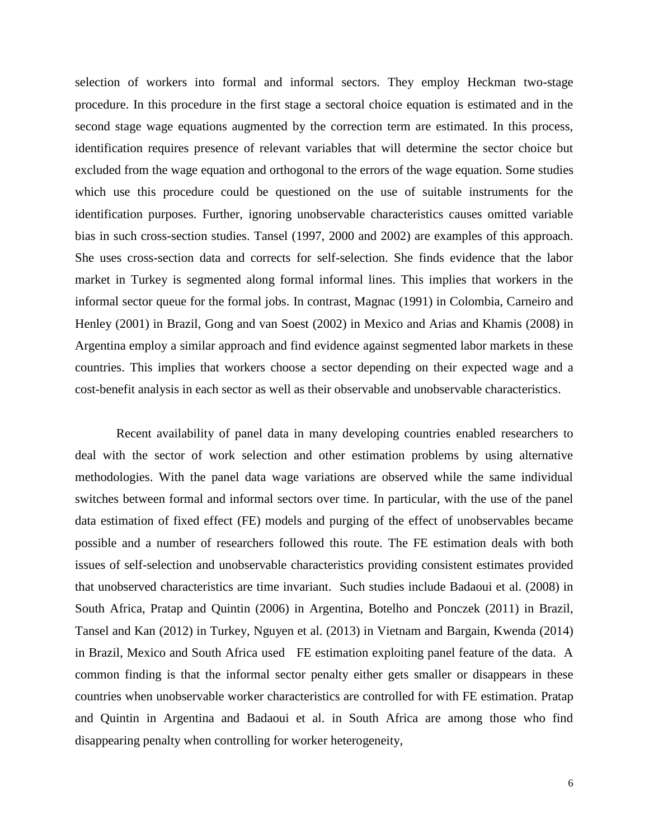selection of workers into formal and informal sectors. They employ Heckman two-stage procedure. In this procedure in the first stage a sectoral choice equation is estimated and in the second stage wage equations augmented by the correction term are estimated. In this process, identification requires presence of relevant variables that will determine the sector choice but excluded from the wage equation and orthogonal to the errors of the wage equation. Some studies which use this procedure could be questioned on the use of suitable instruments for the identification purposes. Further, ignoring unobservable characteristics causes omitted variable bias in such cross-section studies. Tansel (1997, 2000 and 2002) are examples of this approach. She uses cross-section data and corrects for self-selection. She finds evidence that the labor market in Turkey is segmented along formal informal lines. This implies that workers in the informal sector queue for the formal jobs. In contrast, Magnac (1991) in Colombia, Carneiro and Henley (2001) in Brazil, Gong and van Soest (2002) in Mexico and Arias and Khamis (2008) in Argentina employ a similar approach and find evidence against segmented labor markets in these countries. This implies that workers choose a sector depending on their expected wage and a cost-benefit analysis in each sector as well as their observable and unobservable characteristics.

Recent availability of panel data in many developing countries enabled researchers to deal with the sector of work selection and other estimation problems by using alternative methodologies. With the panel data wage variations are observed while the same individual switches between formal and informal sectors over time. In particular, with the use of the panel data estimation of fixed effect (FE) models and purging of the effect of unobservables became possible and a number of researchers followed this route. The FE estimation deals with both issues of self-selection and unobservable characteristics providing consistent estimates provided that unobserved characteristics are time invariant. Such studies include Badaoui et al. (2008) in South Africa, Pratap and Quintin (2006) in Argentina, Botelho and Ponczek (2011) in Brazil, Tansel and Kan (2012) in Turkey, Nguyen et al. (2013) in Vietnam and Bargain, Kwenda (2014) in Brazil, Mexico and South Africa used FE estimation exploiting panel feature of the data. A common finding is that the informal sector penalty either gets smaller or disappears in these countries when unobservable worker characteristics are controlled for with FE estimation. Pratap and Quintin in Argentina and Badaoui et al. in South Africa are among those who find disappearing penalty when controlling for worker heterogeneity,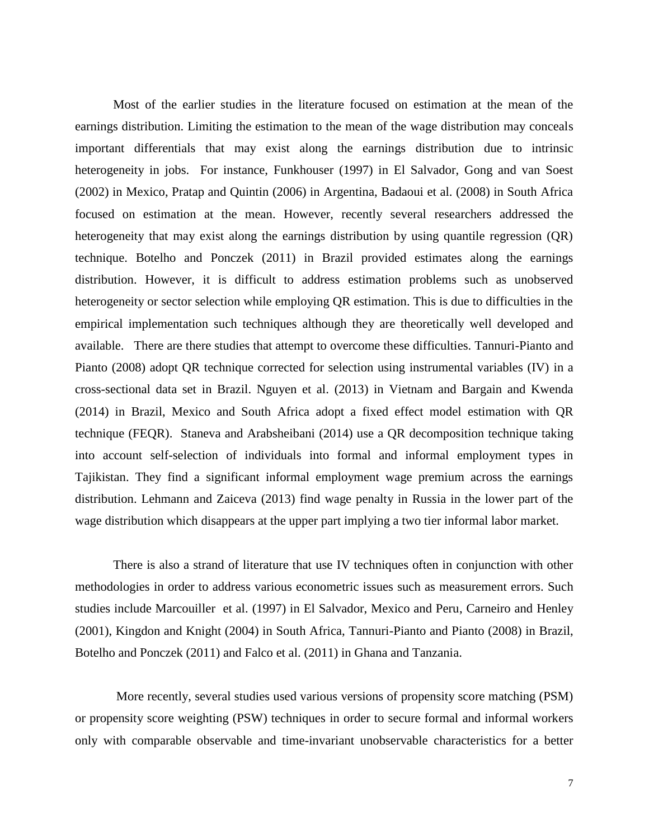Most of the earlier studies in the literature focused on estimation at the mean of the earnings distribution. Limiting the estimation to the mean of the wage distribution may conceals important differentials that may exist along the earnings distribution due to intrinsic heterogeneity in jobs. For instance, Funkhouser (1997) in El Salvador, Gong and van Soest (2002) in Mexico, Pratap and Quintin (2006) in Argentina, Badaoui et al. (2008) in South Africa focused on estimation at the mean. However, recently several researchers addressed the heterogeneity that may exist along the earnings distribution by using quantile regression (QR) technique. Botelho and Ponczek (2011) in Brazil provided estimates along the earnings distribution. However, it is difficult to address estimation problems such as unobserved heterogeneity or sector selection while employing QR estimation. This is due to difficulties in the empirical implementation such techniques although they are theoretically well developed and available. There are there studies that attempt to overcome these difficulties. Tannuri-Pianto and Pianto (2008) adopt QR technique corrected for selection using instrumental variables (IV) in a cross-sectional data set in Brazil. Nguyen et al. (2013) in Vietnam and Bargain and Kwenda (2014) in Brazil, Mexico and South Africa adopt a fixed effect model estimation with QR technique (FEQR). Staneva and Arabsheibani (2014) use a QR decomposition technique taking into account self-selection of individuals into formal and informal employment types in Tajikistan. They find a significant informal employment wage premium across the earnings distribution. Lehmann and Zaiceva (2013) find wage penalty in Russia in the lower part of the wage distribution which disappears at the upper part implying a two tier informal labor market.

There is also a strand of literature that use IV techniques often in conjunction with other methodologies in order to address various econometric issues such as measurement errors. Such studies include Marcouiller et al. (1997) in El Salvador, Mexico and Peru, Carneiro and Henley (2001), Kingdon and Knight (2004) in South Africa, Tannuri-Pianto and Pianto (2008) in Brazil, Botelho and Ponczek (2011) and Falco et al. (2011) in Ghana and Tanzania.

More recently, several studies used various versions of propensity score matching (PSM) or propensity score weighting (PSW) techniques in order to secure formal and informal workers only with comparable observable and time-invariant unobservable characteristics for a better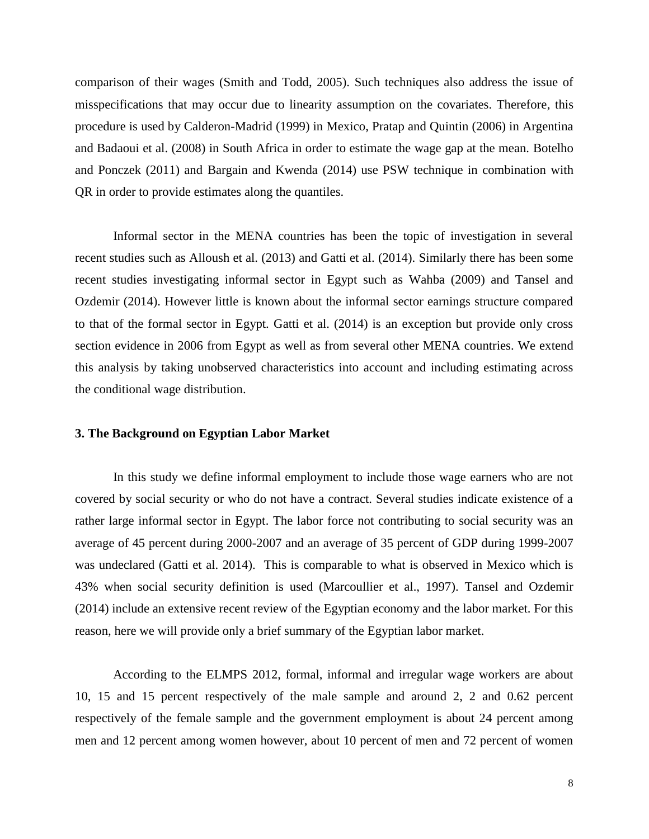comparison of their wages (Smith and Todd, 2005). Such techniques also address the issue of misspecifications that may occur due to linearity assumption on the covariates. Therefore, this procedure is used by Calderon-Madrid (1999) in Mexico, Pratap and Quintin (2006) in Argentina and Badaoui et al. (2008) in South Africa in order to estimate the wage gap at the mean. Botelho and Ponczek (2011) and Bargain and Kwenda (2014) use PSW technique in combination with QR in order to provide estimates along the quantiles.

Informal sector in the MENA countries has been the topic of investigation in several recent studies such as Alloush et al. (2013) and Gatti et al. (2014). Similarly there has been some recent studies investigating informal sector in Egypt such as Wahba (2009) and Tansel and Ozdemir (2014). However little is known about the informal sector earnings structure compared to that of the formal sector in Egypt. Gatti et al. (2014) is an exception but provide only cross section evidence in 2006 from Egypt as well as from several other MENA countries. We extend this analysis by taking unobserved characteristics into account and including estimating across the conditional wage distribution.

### **3. The Background on Egyptian Labor Market**

In this study we define informal employment to include those wage earners who are not covered by social security or who do not have a contract. Several studies indicate existence of a rather large informal sector in Egypt. The labor force not contributing to social security was an average of 45 percent during 2000-2007 and an average of 35 percent of GDP during 1999-2007 was undeclared (Gatti et al. 2014). This is comparable to what is observed in Mexico which is 43% when social security definition is used (Marcoullier et al., 1997). Tansel and Ozdemir (2014) include an extensive recent review of the Egyptian economy and the labor market. For this reason, here we will provide only a brief summary of the Egyptian labor market.

According to the ELMPS 2012, formal, informal and irregular wage workers are about 10, 15 and 15 percent respectively of the male sample and around 2, 2 and 0.62 percent respectively of the female sample and the government employment is about 24 percent among men and 12 percent among women however, about 10 percent of men and 72 percent of women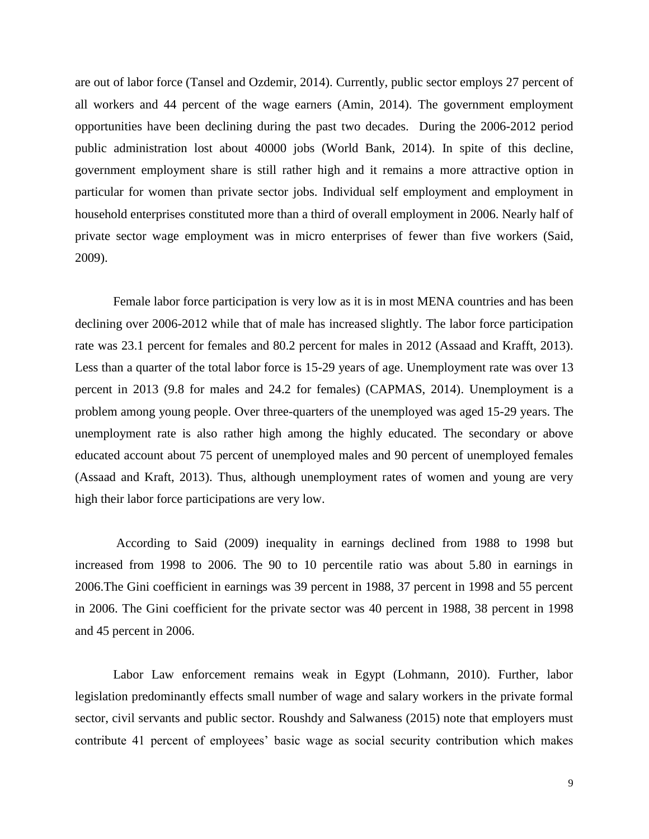are out of labor force (Tansel and Ozdemir, 2014). Currently, public sector employs 27 percent of all workers and 44 percent of the wage earners (Amin, 2014). The government employment opportunities have been declining during the past two decades. During the 2006-2012 period public administration lost about 40000 jobs (World Bank, 2014). In spite of this decline, government employment share is still rather high and it remains a more attractive option in particular for women than private sector jobs. Individual self employment and employment in household enterprises constituted more than a third of overall employment in 2006. Nearly half of private sector wage employment was in micro enterprises of fewer than five workers (Said, 2009).

Female labor force participation is very low as it is in most MENA countries and has been declining over 2006-2012 while that of male has increased slightly. The labor force participation rate was 23.1 percent for females and 80.2 percent for males in 2012 (Assaad and Krafft, 2013). Less than a quarter of the total labor force is 15-29 years of age. Unemployment rate was over 13 percent in 2013 (9.8 for males and 24.2 for females) (CAPMAS, 2014). Unemployment is a problem among young people. Over three-quarters of the unemployed was aged 15-29 years. The unemployment rate is also rather high among the highly educated. The secondary or above educated account about 75 percent of unemployed males and 90 percent of unemployed females (Assaad and Kraft, 2013). Thus, although unemployment rates of women and young are very high their labor force participations are very low.

According to Said (2009) inequality in earnings declined from 1988 to 1998 but increased from 1998 to 2006. The 90 to 10 percentile ratio was about 5.80 in earnings in 2006.The Gini coefficient in earnings was 39 percent in 1988, 37 percent in 1998 and 55 percent in 2006. The Gini coefficient for the private sector was 40 percent in 1988, 38 percent in 1998 and 45 percent in 2006.

Labor Law enforcement remains weak in Egypt (Lohmann, 2010). Further, labor legislation predominantly effects small number of wage and salary workers in the private formal sector, civil servants and public sector. Roushdy and Salwaness (2015) note that employers must contribute 41 percent of employees' basic wage as social security contribution which makes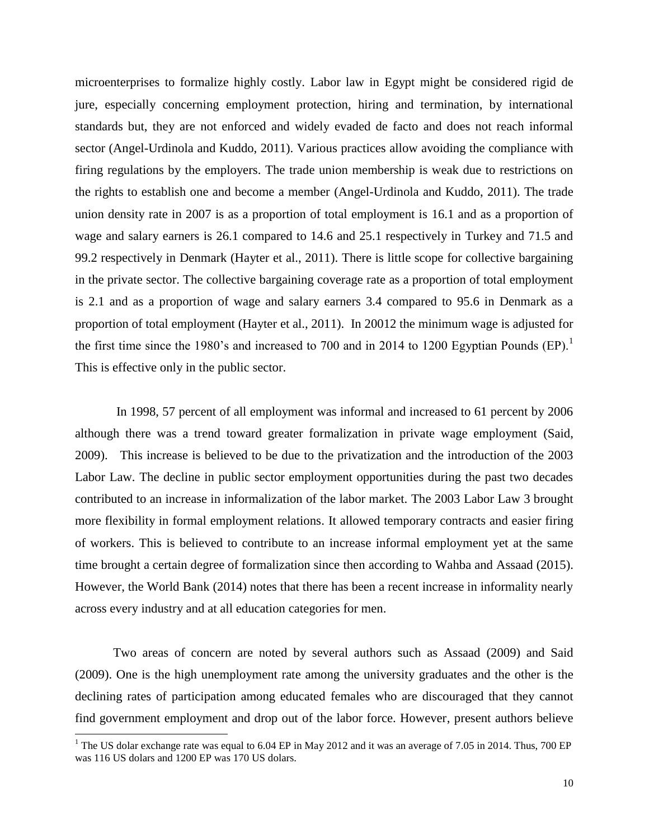microenterprises to formalize highly costly. Labor law in Egypt might be considered rigid de jure, especially concerning employment protection, hiring and termination, by international standards but, they are not enforced and widely evaded de facto and does not reach informal sector (Angel-Urdinola and Kuddo, 2011). Various practices allow avoiding the compliance with firing regulations by the employers. The trade union membership is weak due to restrictions on the rights to establish one and become a member (Angel-Urdinola and Kuddo, 2011). The trade union density rate in 2007 is as a proportion of total employment is 16.1 and as a proportion of wage and salary earners is 26.1 compared to 14.6 and 25.1 respectively in Turkey and 71.5 and 99.2 respectively in Denmark (Hayter et al., 2011). There is little scope for collective bargaining in the private sector. The collective bargaining coverage rate as a proportion of total employment is 2.1 and as a proportion of wage and salary earners 3.4 compared to 95.6 in Denmark as a proportion of total employment (Hayter et al., 2011). In 20012 the minimum wage is adjusted for the first time since the 1980's and increased to 700 and in 2014 to 1200 Egyptian Pounds  $(EP)^{1}$ . This is effective only in the public sector.

In 1998, 57 percent of all employment was informal and increased to 61 percent by 2006 although there was a trend toward greater formalization in private wage employment (Said, 2009). This increase is believed to be due to the privatization and the introduction of the 2003 Labor Law. The decline in public sector employment opportunities during the past two decades contributed to an increase in informalization of the labor market. The 2003 Labor Law 3 brought more flexibility in formal employment relations. It allowed temporary contracts and easier firing of workers. This is believed to contribute to an increase informal employment yet at the same time brought a certain degree of formalization since then according to Wahba and Assaad (2015). However, the World Bank (2014) notes that there has been a recent increase in informality nearly across every industry and at all education categories for men.

Two areas of concern are noted by several authors such as Assaad (2009) and Said (2009). One is the high unemployment rate among the university graduates and the other is the declining rates of participation among educated females who are discouraged that they cannot find government employment and drop out of the labor force. However, present authors believe

<sup>&</sup>lt;sup>1</sup> The US dolar exchange rate was equal to 6.04 EP in May 2012 and it was an average of 7.05 in 2014. Thus, 700 EP was 116 US dolars and 1200 EP was 170 US dolars.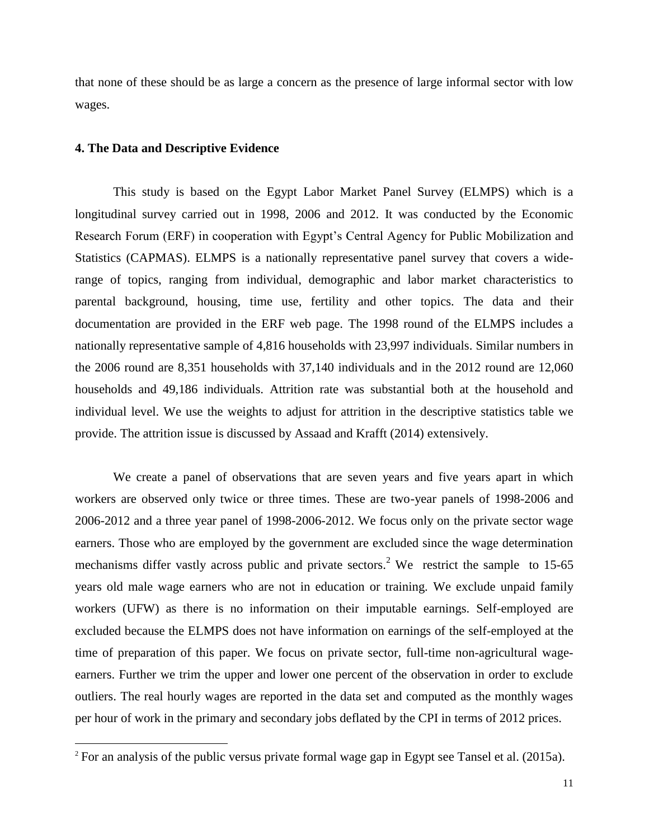that none of these should be as large a concern as the presence of large informal sector with low wages.

### **4. The Data and Descriptive Evidence**

 $\overline{a}$ 

This study is based on the Egypt Labor Market Panel Survey (ELMPS) which is a longitudinal survey carried out in 1998, 2006 and 2012. It was conducted by the Economic Research Forum (ERF) in cooperation with Egypt's Central Agency for Public Mobilization and Statistics (CAPMAS). ELMPS is a nationally representative panel survey that covers a widerange of topics, ranging from individual, demographic and labor market characteristics to parental background, housing, time use, fertility and other topics. The data and their documentation are provided in the ERF web page. The 1998 round of the ELMPS includes a nationally representative sample of 4,816 households with 23,997 individuals. Similar numbers in the 2006 round are 8,351 households with 37,140 individuals and in the 2012 round are 12,060 households and 49,186 individuals. Attrition rate was substantial both at the household and individual level. We use the weights to adjust for attrition in the descriptive statistics table we provide. The attrition issue is discussed by Assaad and Krafft (2014) extensively.

We create a panel of observations that are seven years and five years apart in which workers are observed only twice or three times. These are two-year panels of 1998-2006 and 2006-2012 and a three year panel of 1998-2006-2012. We focus only on the private sector wage earners. Those who are employed by the government are excluded since the wage determination mechanisms differ vastly across public and private sectors.<sup>2</sup> We restrict the sample to 15-65 years old male wage earners who are not in education or training. We exclude unpaid family workers (UFW) as there is no information on their imputable earnings. Self-employed are excluded because the ELMPS does not have information on earnings of the self-employed at the time of preparation of this paper. We focus on private sector, full-time non-agricultural wageearners. Further we trim the upper and lower one percent of the observation in order to exclude outliers. The real hourly wages are reported in the data set and computed as the monthly wages per hour of work in the primary and secondary jobs deflated by the CPI in terms of 2012 prices.

<sup>&</sup>lt;sup>2</sup> For an analysis of the public versus private formal wage gap in Egypt see Tansel et al. (2015a).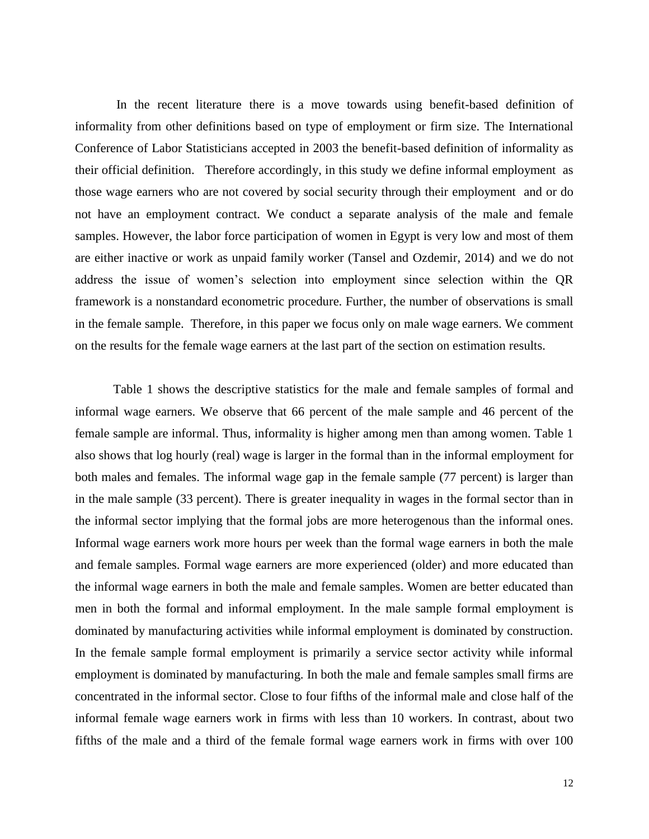In the recent literature there is a move towards using benefit-based definition of informality from other definitions based on type of employment or firm size. The International Conference of Labor Statisticians accepted in 2003 the benefit-based definition of informality as their official definition. Therefore accordingly, in this study we define informal employment as those wage earners who are not covered by social security through their employment and or do not have an employment contract. We conduct a separate analysis of the male and female samples. However, the labor force participation of women in Egypt is very low and most of them are either inactive or work as unpaid family worker (Tansel and Ozdemir, 2014) and we do not address the issue of women's selection into employment since selection within the QR framework is a nonstandard econometric procedure. Further, the number of observations is small in the female sample. Therefore, in this paper we focus only on male wage earners. We comment on the results for the female wage earners at the last part of the section on estimation results.

Table 1 shows the descriptive statistics for the male and female samples of formal and informal wage earners. We observe that 66 percent of the male sample and 46 percent of the female sample are informal. Thus, informality is higher among men than among women. Table 1 also shows that log hourly (real) wage is larger in the formal than in the informal employment for both males and females. The informal wage gap in the female sample (77 percent) is larger than in the male sample (33 percent). There is greater inequality in wages in the formal sector than in the informal sector implying that the formal jobs are more heterogenous than the informal ones. Informal wage earners work more hours per week than the formal wage earners in both the male and female samples. Formal wage earners are more experienced (older) and more educated than the informal wage earners in both the male and female samples. Women are better educated than men in both the formal and informal employment. In the male sample formal employment is dominated by manufacturing activities while informal employment is dominated by construction. In the female sample formal employment is primarily a service sector activity while informal employment is dominated by manufacturing. In both the male and female samples small firms are concentrated in the informal sector. Close to four fifths of the informal male and close half of the informal female wage earners work in firms with less than 10 workers. In contrast, about two fifths of the male and a third of the female formal wage earners work in firms with over 100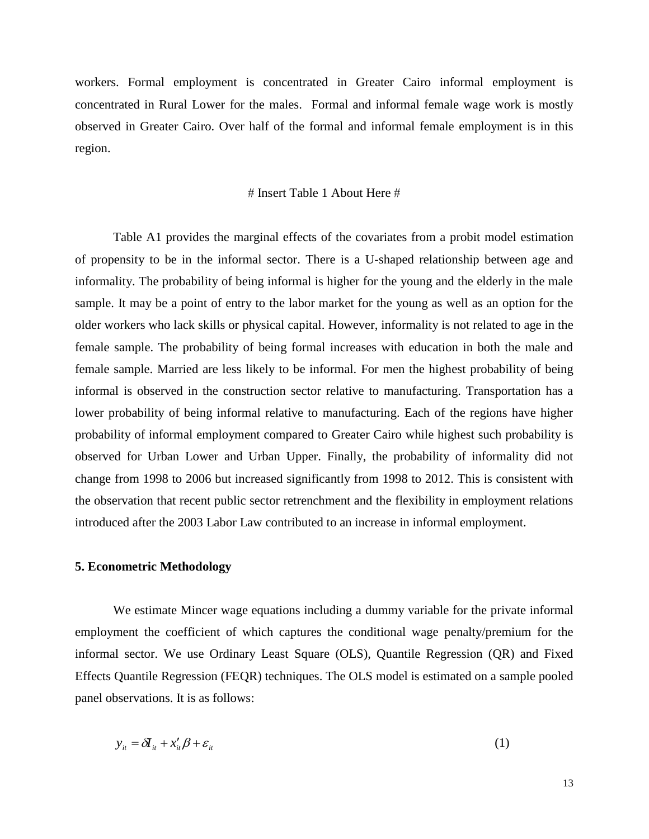workers. Formal employment is concentrated in Greater Cairo informal employment is concentrated in Rural Lower for the males. Formal and informal female wage work is mostly observed in Greater Cairo. Over half of the formal and informal female employment is in this region.

### $#$  Insert Table 1 About Here  $#$

Table A1 provides the marginal effects of the covariates from a probit model estimation of propensity to be in the informal sector. There is a U-shaped relationship between age and informality. The probability of being informal is higher for the young and the elderly in the male sample. It may be a point of entry to the labor market for the young as well as an option for the older workers who lack skills or physical capital. However, informality is not related to age in the female sample. The probability of being formal increases with education in both the male and female sample. Married are less likely to be informal. For men the highest probability of being informal is observed in the construction sector relative to manufacturing. Transportation has a lower probability of being informal relative to manufacturing. Each of the regions have higher probability of informal employment compared to Greater Cairo while highest such probability is observed for Urban Lower and Urban Upper. Finally, the probability of informality did not change from 1998 to 2006 but increased significantly from 1998 to 2012. This is consistent with the observation that recent public sector retrenchment and the flexibility in employment relations introduced after the 2003 Labor Law contributed to an increase in informal employment.

### **5. Econometric Methodology**

We estimate Mincer wage equations including a dummy variable for the private informal employment the coefficient of which captures the conditional wage penalty/premium for the informal sector. We use Ordinary Least Square (OLS), Quantile Regression (QR) and Fixed Effects Quantile Regression (FEQR) techniques. The OLS model is estimated on a sample pooled panel observations. It is as follows:

$$
y_{it} = \delta I_{it} + x_{it}' \beta + \varepsilon_{it}
$$
 (1)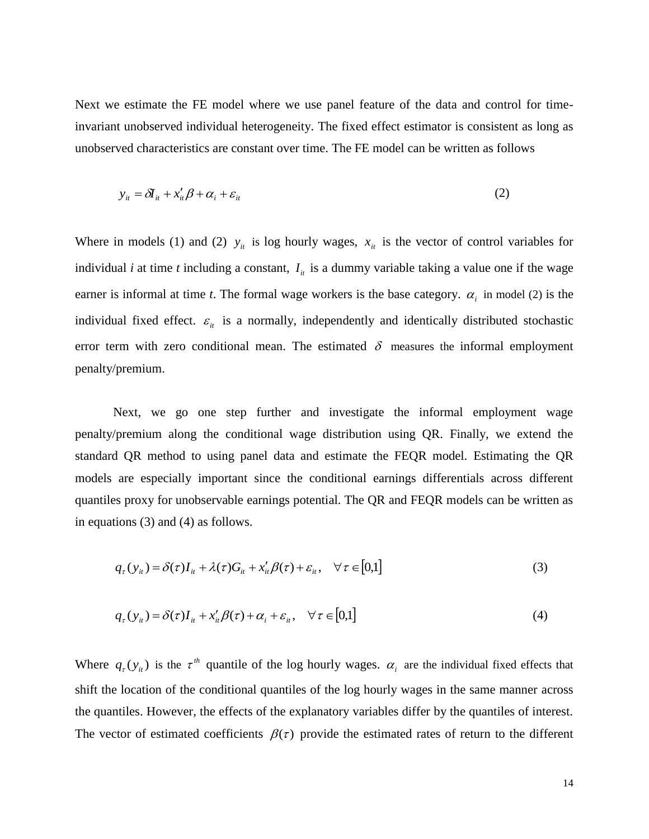Next we estimate the FE model where we use panel feature of the data and control for timeinvariant unobserved individual heterogeneity. The fixed effect estimator is consistent as long as unobserved characteristics are constant over time. The FE model can be written as follows

$$
y_{it} = \delta I_{it} + x_{it}' \beta + \alpha_i + \varepsilon_{it}
$$
 (2)

Where in models (1) and (2)  $y_i$  is log hourly wages,  $x_i$  is the vector of control variables for individual *i* at time *t* including a constant,  $I_{ii}$  is a dummy variable taking a value one if the wage earner is informal at time *t*. The formal wage workers is the base category.  $\alpha_i$  in model (2) is the individual fixed effect.  $\varepsilon_{it}$  is a normally, independently and identically distributed stochastic error term with zero conditional mean. The estimated  $\delta$  measures the informal employment penalty/premium.

Next, we go one step further and investigate the informal employment wage penalty/premium along the conditional wage distribution using QR. Finally, we extend the standard QR method to using panel data and estimate the FEQR model. Estimating the QR models are especially important since the conditional earnings differentials across different quantiles proxy for unobservable earnings potential. The QR and FEQR models can be written as in equations (3) and (4) as follows.

$$
q_{\tau}(y_{it}) = \delta(\tau)I_{it} + \lambda(\tau)G_{it} + x_{it}'\beta(\tau) + \varepsilon_{it}, \quad \forall \tau \in [0,1]
$$
\n(3)

$$
q_{\tau}(y_{it}) = \delta(\tau)I_{it} + x_{it}'\beta(\tau) + \alpha_i + \varepsilon_{it}, \quad \forall \tau \in [0,1]
$$
\n
$$
\tag{4}
$$

Where  $q_r(y_i)$  is the  $\tau^{th}$  quantile of the log hourly wages.  $\alpha_i$  are the individual fixed effects that shift the location of the conditional quantiles of the log hourly wages in the same manner across the quantiles. However, the effects of the explanatory variables differ by the quantiles of interest. The vector of estimated coefficients  $\beta(\tau)$  provide the estimated rates of return to the different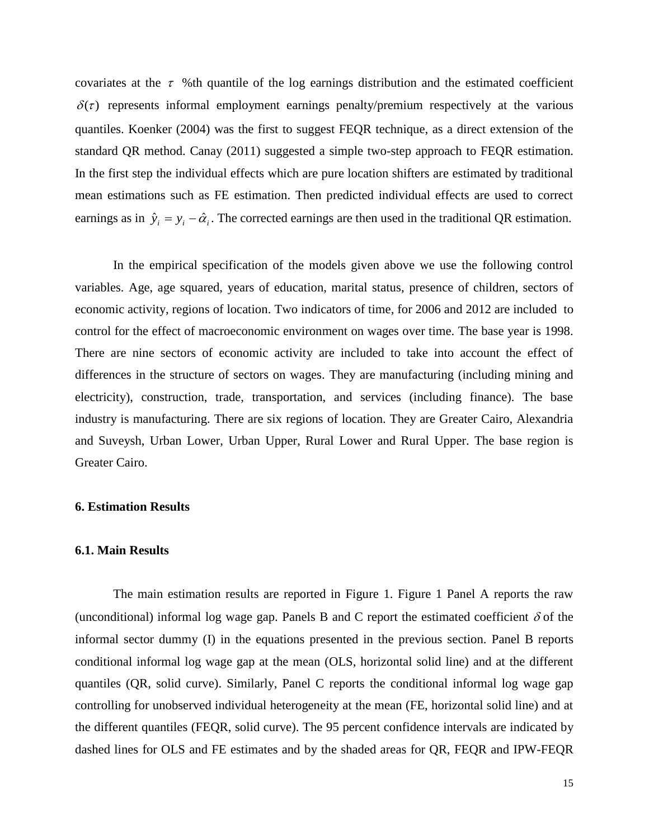covariates at the  $\tau$  %th quantile of the log earnings distribution and the estimated coefficient  $\delta(\tau)$  represents informal employment earnings penalty/premium respectively at the various quantiles. Koenker (2004) was the first to suggest FEQR technique, as a direct extension of the standard QR method. Canay (2011) suggested a simple two-step approach to FEQR estimation. In the first step the individual effects which are pure location shifters are estimated by traditional mean estimations such as FE estimation. Then predicted individual effects are used to correct earnings as in  $\hat{y}_i = y_i - \hat{\alpha}_i$ . The corrected earnings are then used in the traditional QR estimation.

In the empirical specification of the models given above we use the following control variables. Age, age squared, years of education, marital status, presence of children, sectors of economic activity, regions of location. Two indicators of time, for 2006 and 2012 are included to control for the effect of macroeconomic environment on wages over time. The base year is 1998. There are nine sectors of economic activity are included to take into account the effect of differences in the structure of sectors on wages. They are manufacturing (including mining and electricity), construction, trade, transportation, and services (including finance). The base industry is manufacturing. There are six regions of location. They are Greater Cairo, Alexandria and Suveysh, Urban Lower, Urban Upper, Rural Lower and Rural Upper. The base region is Greater Cairo.

### **6. Estimation Results**

### **6.1. Main Results**

The main estimation results are reported in Figure 1. Figure 1 Panel A reports the raw (unconditional) informal log wage gap. Panels B and C report the estimated coefficient  $\delta$  of the informal sector dummy (I) in the equations presented in the previous section. Panel B reports conditional informal log wage gap at the mean (OLS, horizontal solid line) and at the different quantiles (QR, solid curve). Similarly, Panel C reports the conditional informal log wage gap controlling for unobserved individual heterogeneity at the mean (FE, horizontal solid line) and at the different quantiles (FEQR, solid curve). The 95 percent confidence intervals are indicated by dashed lines for OLS and FE estimates and by the shaded areas for QR, FEQR and IPW-FEQR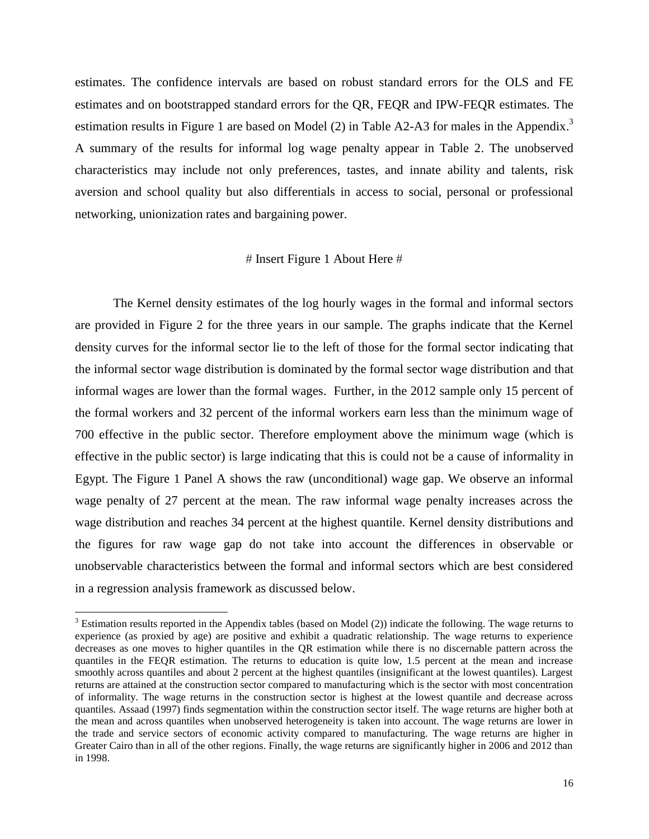estimates. The confidence intervals are based on robust standard errors for the OLS and FE estimates and on bootstrapped standard errors for the QR, FEQR and IPW-FEQR estimates. The estimation results in Figure 1 are based on Model (2) in Table A2-A3 for males in the Appendix.<sup>3</sup> A summary of the results for informal log wage penalty appear in Table 2. The unobserved characteristics may include not only preferences, tastes, and innate ability and talents, risk aversion and school quality but also differentials in access to social, personal or professional networking, unionization rates and bargaining power.

### $#$  Insert Figure 1 About Here  $#$

The Kernel density estimates of the log hourly wages in the formal and informal sectors are provided in Figure 2 for the three years in our sample. The graphs indicate that the Kernel density curves for the informal sector lie to the left of those for the formal sector indicating that the informal sector wage distribution is dominated by the formal sector wage distribution and that informal wages are lower than the formal wages. Further, in the 2012 sample only 15 percent of the formal workers and 32 percent of the informal workers earn less than the minimum wage of 700 effective in the public sector. Therefore employment above the minimum wage (which is effective in the public sector) is large indicating that this is could not be a cause of informality in Egypt. The Figure 1 Panel A shows the raw (unconditional) wage gap. We observe an informal wage penalty of 27 percent at the mean. The raw informal wage penalty increases across the wage distribution and reaches 34 percent at the highest quantile. Kernel density distributions and the figures for raw wage gap do not take into account the differences in observable or unobservable characteristics between the formal and informal sectors which are best considered in a regression analysis framework as discussed below.

 $3$  Estimation results reported in the Appendix tables (based on Model (2)) indicate the following. The wage returns to experience (as proxied by age) are positive and exhibit a quadratic relationship. The wage returns to experience decreases as one moves to higher quantiles in the QR estimation while there is no discernable pattern across the quantiles in the FEQR estimation. The returns to education is quite low, 1.5 percent at the mean and increase smoothly across quantiles and about 2 percent at the highest quantiles (insignificant at the lowest quantiles). Largest returns are attained at the construction sector compared to manufacturing which is the sector with most concentration of informality. The wage returns in the construction sector is highest at the lowest quantile and decrease across quantiles. Assaad (1997) finds segmentation within the construction sector itself. The wage returns are higher both at the mean and across quantiles when unobserved heterogeneity is taken into account. The wage returns are lower in the trade and service sectors of economic activity compared to manufacturing. The wage returns are higher in Greater Cairo than in all of the other regions. Finally, the wage returns are significantly higher in 2006 and 2012 than in 1998.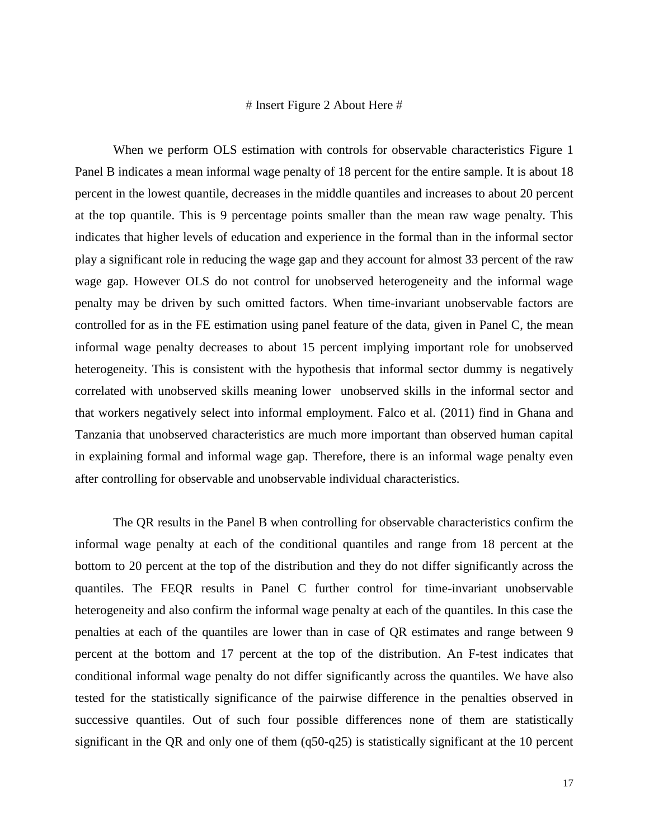### $#$  Insert Figure 2 About Here  $#$

When we perform OLS estimation with controls for observable characteristics Figure 1 Panel B indicates a mean informal wage penalty of 18 percent for the entire sample. It is about 18 percent in the lowest quantile, decreases in the middle quantiles and increases to about 20 percent at the top quantile. This is 9 percentage points smaller than the mean raw wage penalty. This indicates that higher levels of education and experience in the formal than in the informal sector play a significant role in reducing the wage gap and they account for almost 33 percent of the raw wage gap. However OLS do not control for unobserved heterogeneity and the informal wage penalty may be driven by such omitted factors. When time-invariant unobservable factors are controlled for as in the FE estimation using panel feature of the data, given in Panel C, the mean informal wage penalty decreases to about 15 percent implying important role for unobserved heterogeneity. This is consistent with the hypothesis that informal sector dummy is negatively correlated with unobserved skills meaning lower unobserved skills in the informal sector and that workers negatively select into informal employment. Falco et al. (2011) find in Ghana and Tanzania that unobserved characteristics are much more important than observed human capital in explaining formal and informal wage gap. Therefore, there is an informal wage penalty even after controlling for observable and unobservable individual characteristics.

The QR results in the Panel B when controlling for observable characteristics confirm the informal wage penalty at each of the conditional quantiles and range from 18 percent at the bottom to 20 percent at the top of the distribution and they do not differ significantly across the quantiles. The FEQR results in Panel C further control for time-invariant unobservable heterogeneity and also confirm the informal wage penalty at each of the quantiles. In this case the penalties at each of the quantiles are lower than in case of QR estimates and range between 9 percent at the bottom and 17 percent at the top of the distribution. An F-test indicates that conditional informal wage penalty do not differ significantly across the quantiles. We have also tested for the statistically significance of the pairwise difference in the penalties observed in successive quantiles. Out of such four possible differences none of them are statistically significant in the QR and only one of them (q50-q25) is statistically significant at the 10 percent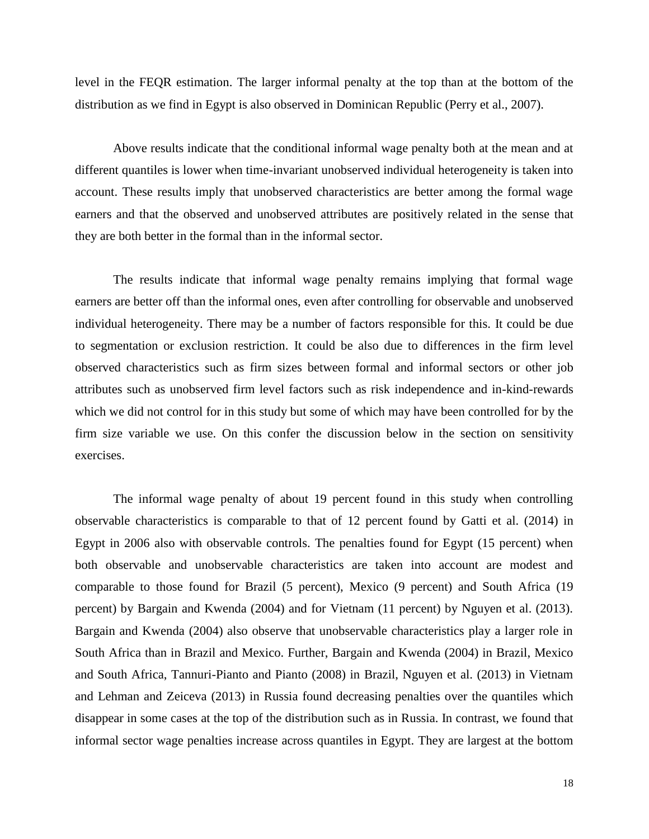level in the FEQR estimation. The larger informal penalty at the top than at the bottom of the distribution as we find in Egypt is also observed in Dominican Republic (Perry et al., 2007).

Above results indicate that the conditional informal wage penalty both at the mean and at different quantiles is lower when time-invariant unobserved individual heterogeneity is taken into account. These results imply that unobserved characteristics are better among the formal wage earners and that the observed and unobserved attributes are positively related in the sense that they are both better in the formal than in the informal sector.

The results indicate that informal wage penalty remains implying that formal wage earners are better off than the informal ones, even after controlling for observable and unobserved individual heterogeneity. There may be a number of factors responsible for this. It could be due to segmentation or exclusion restriction. It could be also due to differences in the firm level observed characteristics such as firm sizes between formal and informal sectors or other job attributes such as unobserved firm level factors such as risk independence and in-kind-rewards which we did not control for in this study but some of which may have been controlled for by the firm size variable we use. On this confer the discussion below in the section on sensitivity exercises.

The informal wage penalty of about 19 percent found in this study when controlling observable characteristics is comparable to that of 12 percent found by Gatti et al. (2014) in Egypt in 2006 also with observable controls. The penalties found for Egypt (15 percent) when both observable and unobservable characteristics are taken into account are modest and comparable to those found for Brazil (5 percent), Mexico (9 percent) and South Africa (19 percent) by Bargain and Kwenda (2004) and for Vietnam (11 percent) by Nguyen et al. (2013). Bargain and Kwenda (2004) also observe that unobservable characteristics play a larger role in South Africa than in Brazil and Mexico. Further, Bargain and Kwenda (2004) in Brazil, Mexico and South Africa, Tannuri-Pianto and Pianto (2008) in Brazil, Nguyen et al. (2013) in Vietnam and Lehman and Zeiceva (2013) in Russia found decreasing penalties over the quantiles which disappear in some cases at the top of the distribution such as in Russia. In contrast, we found that informal sector wage penalties increase across quantiles in Egypt. They are largest at the bottom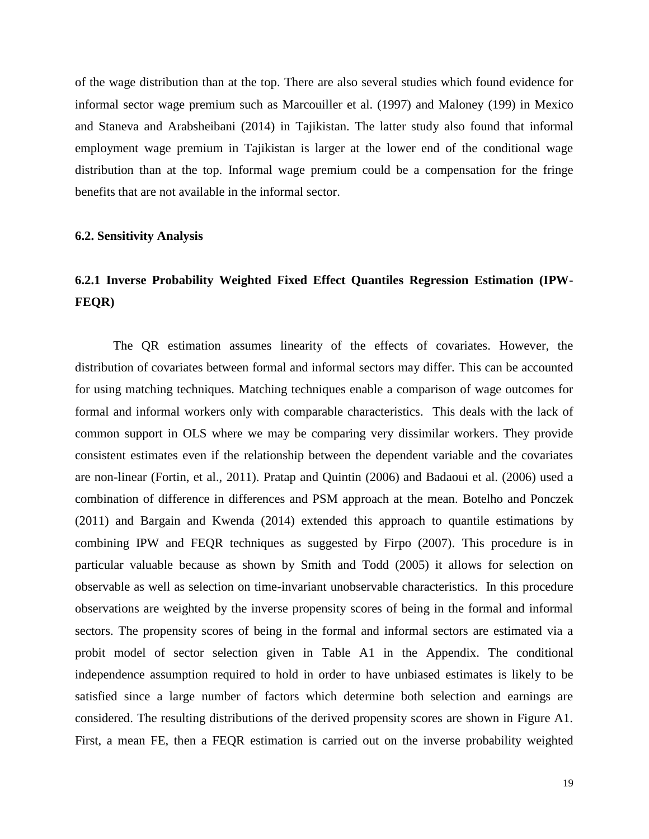of the wage distribution than at the top. There are also several studies which found evidence for informal sector wage premium such as Marcouiller et al. (1997) and Maloney (199) in Mexico and Staneva and Arabsheibani (2014) in Tajikistan. The latter study also found that informal employment wage premium in Tajikistan is larger at the lower end of the conditional wage distribution than at the top. Informal wage premium could be a compensation for the fringe benefits that are not available in the informal sector.

### **6.2. Sensitivity Analysis**

### **6.2.1 Inverse Probability Weighted Fixed Effect Quantiles Regression Estimation (IPW-FEQR)**

The QR estimation assumes linearity of the effects of covariates. However, the distribution of covariates between formal and informal sectors may differ. This can be accounted for using matching techniques. Matching techniques enable a comparison of wage outcomes for formal and informal workers only with comparable characteristics. This deals with the lack of common support in OLS where we may be comparing very dissimilar workers. They provide consistent estimates even if the relationship between the dependent variable and the covariates are non-linear (Fortin, et al., 2011). Pratap and Quintin (2006) and Badaoui et al. (2006) used a combination of difference in differences and PSM approach at the mean. Botelho and Ponczek (2011) and Bargain and Kwenda (2014) extended this approach to quantile estimations by combining IPW and FEQR techniques as suggested by Firpo (2007). This procedure is in particular valuable because as shown by Smith and Todd (2005) it allows for selection on observable as well as selection on time-invariant unobservable characteristics. In this procedure observations are weighted by the inverse propensity scores of being in the formal and informal sectors. The propensity scores of being in the formal and informal sectors are estimated via a probit model of sector selection given in Table A1 in the Appendix. The conditional independence assumption required to hold in order to have unbiased estimates is likely to be satisfied since a large number of factors which determine both selection and earnings are considered. The resulting distributions of the derived propensity scores are shown in Figure A1. First, a mean FE, then a FEQR estimation is carried out on the inverse probability weighted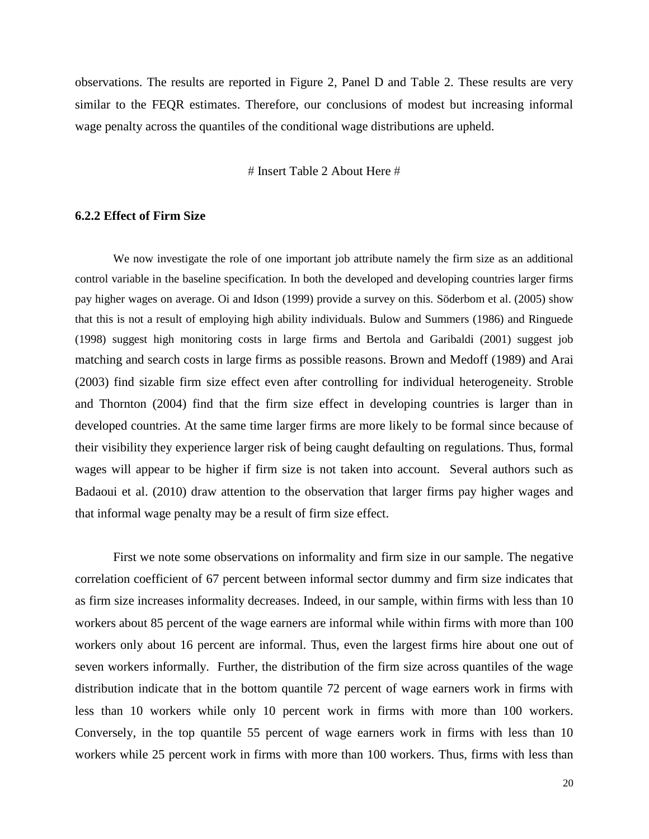observations. The results are reported in Figure 2, Panel D and Table 2. These results are very similar to the FEQR estimates. Therefore, our conclusions of modest but increasing informal wage penalty across the quantiles of the conditional wage distributions are upheld.

 $#$  Insert Table 2 About Here  $#$ 

### **6.2.2 Effect of Firm Size**

We now investigate the role of one important job attribute namely the firm size as an additional control variable in the baseline specification. In both the developed and developing countries larger firms pay higher wages on average. Oi and Idson (1999) provide a survey on this. Söderbom et al. (2005) show that this is not a result of employing high ability individuals. Bulow and Summers (1986) and Ringuede (1998) suggest high monitoring costs in large firms and Bertola and Garibaldi (2001) suggest job matching and search costs in large firms as possible reasons. Brown and Medoff (1989) and Arai (2003) find sizable firm size effect even after controlling for individual heterogeneity. Stroble and Thornton (2004) find that the firm size effect in developing countries is larger than in developed countries. At the same time larger firms are more likely to be formal since because of their visibility they experience larger risk of being caught defaulting on regulations. Thus, formal wages will appear to be higher if firm size is not taken into account. Several authors such as Badaoui et al. (2010) draw attention to the observation that larger firms pay higher wages and that informal wage penalty may be a result of firm size effect.

First we note some observations on informality and firm size in our sample. The negative correlation coefficient of 67 percent between informal sector dummy and firm size indicates that as firm size increases informality decreases. Indeed, in our sample, within firms with less than 10 workers about 85 percent of the wage earners are informal while within firms with more than 100 workers only about 16 percent are informal. Thus, even the largest firms hire about one out of seven workers informally. Further, the distribution of the firm size across quantiles of the wage distribution indicate that in the bottom quantile 72 percent of wage earners work in firms with less than 10 workers while only 10 percent work in firms with more than 100 workers. Conversely, in the top quantile 55 percent of wage earners work in firms with less than 10 workers while 25 percent work in firms with more than 100 workers. Thus, firms with less than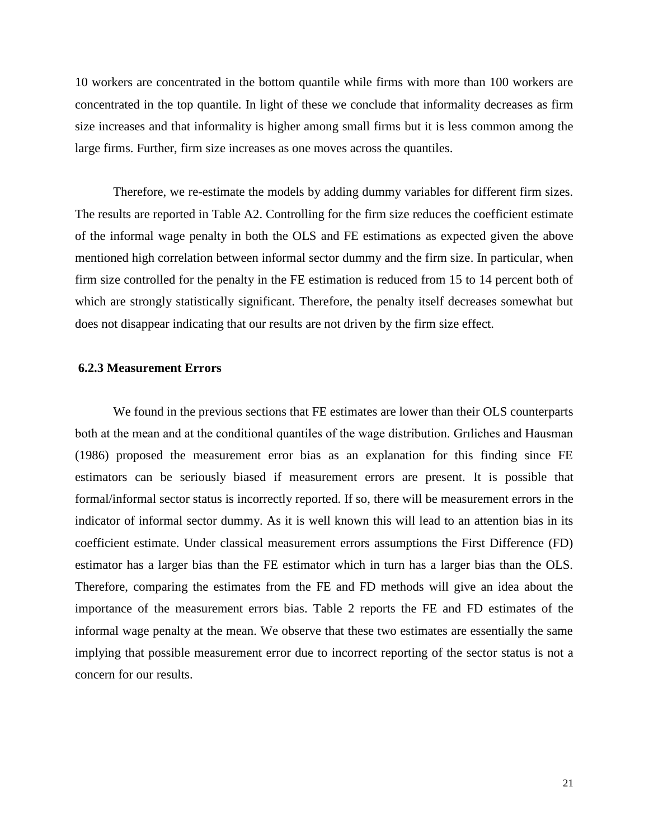10 workers are concentrated in the bottom quantile while firms with more than 100 workers are concentrated in the top quantile. In light of these we conclude that informality decreases as firm size increases and that informality is higher among small firms but it is less common among the large firms. Further, firm size increases as one moves across the quantiles.

Therefore, we re-estimate the models by adding dummy variables for different firm sizes. The results are reported in Table A2. Controlling for the firm size reduces the coefficient estimate of the informal wage penalty in both the OLS and FE estimations as expected given the above mentioned high correlation between informal sector dummy and the firm size. In particular, when firm size controlled for the penalty in the FE estimation is reduced from 15 to 14 percent both of which are strongly statistically significant. Therefore, the penalty itself decreases somewhat but does not disappear indicating that our results are not driven by the firm size effect.

### **6.2.3 Measurement Errors**

We found in the previous sections that FE estimates are lower than their OLS counterparts both at the mean and at the conditional quantiles of the wage distribution. Grıliches and Hausman (1986) proposed the measurement error bias as an explanation for this finding since FE estimators can be seriously biased if measurement errors are present. It is possible that formal/informal sector status is incorrectly reported. If so, there will be measurement errors in the indicator of informal sector dummy. As it is well known this will lead to an attention bias in its coefficient estimate. Under classical measurement errors assumptions the First Difference (FD) estimator has a larger bias than the FE estimator which in turn has a larger bias than the OLS. Therefore, comparing the estimates from the FE and FD methods will give an idea about the importance of the measurement errors bias. Table 2 reports the FE and FD estimates of the informal wage penalty at the mean. We observe that these two estimates are essentially the same implying that possible measurement error due to incorrect reporting of the sector status is not a concern for our results.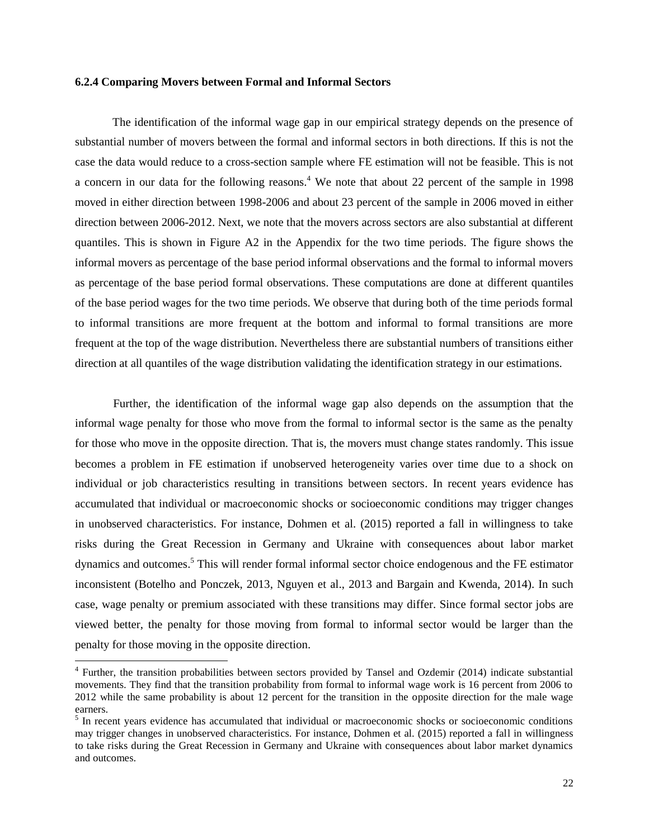#### **6.2.4 Comparing Movers between Formal and Informal Sectors**

The identification of the informal wage gap in our empirical strategy depends on the presence of substantial number of movers between the formal and informal sectors in both directions. If this is not the case the data would reduce to a cross-section sample where FE estimation will not be feasible. This is not a concern in our data for the following reasons.<sup>4</sup> We note that about 22 percent of the sample in 1998 moved in either direction between 1998-2006 and about 23 percent of the sample in 2006 moved in either direction between 2006-2012. Next, we note that the movers across sectors are also substantial at different quantiles. This is shown in Figure A2 in the Appendix for the two time periods. The figure shows the informal movers as percentage of the base period informal observations and the formal to informal movers as percentage of the base period formal observations. These computations are done at different quantiles of the base period wages for the two time periods. We observe that during both of the time periods formal to informal transitions are more frequent at the bottom and informal to formal transitions are more frequent at the top of the wage distribution. Nevertheless there are substantial numbers of transitions either direction at all quantiles of the wage distribution validating the identification strategy in our estimations.

Further, the identification of the informal wage gap also depends on the assumption that the informal wage penalty for those who move from the formal to informal sector is the same as the penalty for those who move in the opposite direction. That is, the movers must change states randomly. This issue becomes a problem in FE estimation if unobserved heterogeneity varies over time due to a shock on individual or job characteristics resulting in transitions between sectors. In recent years evidence has accumulated that individual or macroeconomic shocks or socioeconomic conditions may trigger changes in unobserved characteristics. For instance, Dohmen et al. (2015) reported a fall in willingness to take risks during the Great Recession in Germany and Ukraine with consequences about labor market dynamics and outcomes. <sup>5</sup> This will render formal informal sector choice endogenous and the FE estimator inconsistent (Botelho and Ponczek, 2013, Nguyen et al., 2013 and Bargain and Kwenda, 2014). In such case, wage penalty or premium associated with these transitions may differ. Since formal sector jobs are viewed better, the penalty for those moving from formal to informal sector would be larger than the penalty for those moving in the opposite direction.

<sup>&</sup>lt;sup>4</sup> Further, the transition probabilities between sectors provided by Tansel and Ozdemir (2014) indicate substantial movements. They find that the transition probability from formal to informal wage work is 16 percent from 2006 to 2012 while the same probability is about 12 percent for the transition in the opposite direction for the male wage earners.

<sup>&</sup>lt;sup>5</sup> In recent years evidence has accumulated that individual or macroeconomic shocks or socioeconomic conditions may trigger changes in unobserved characteristics. For instance, Dohmen et al. (2015) reported a fall in willingness to take risks during the Great Recession in Germany and Ukraine with consequences about labor market dynamics and outcomes.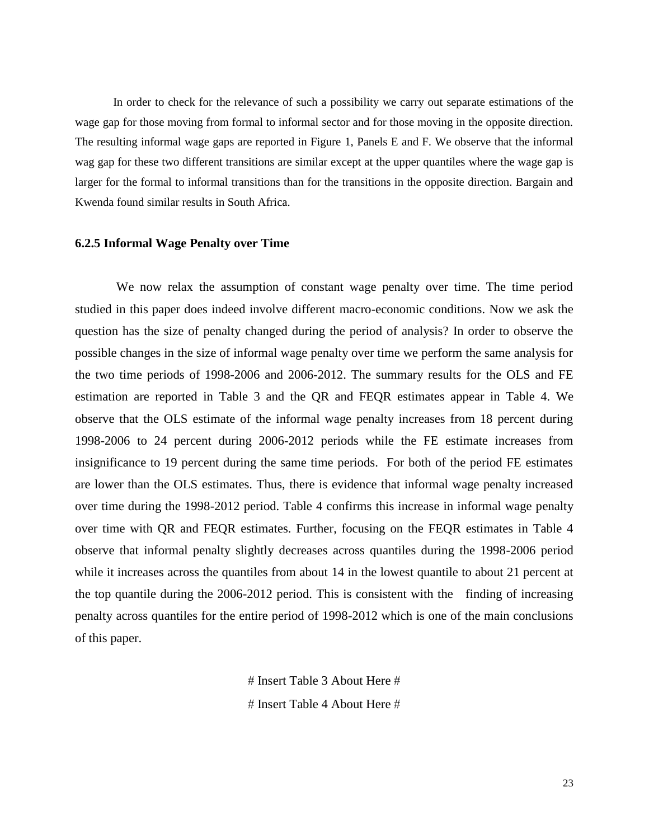In order to check for the relevance of such a possibility we carry out separate estimations of the wage gap for those moving from formal to informal sector and for those moving in the opposite direction. The resulting informal wage gaps are reported in Figure 1, Panels E and F. We observe that the informal wag gap for these two different transitions are similar except at the upper quantiles where the wage gap is larger for the formal to informal transitions than for the transitions in the opposite direction. Bargain and Kwenda found similar results in South Africa.

### **6.2.5 Informal Wage Penalty over Time**

We now relax the assumption of constant wage penalty over time. The time period studied in this paper does indeed involve different macro-economic conditions. Now we ask the question has the size of penalty changed during the period of analysis? In order to observe the possible changes in the size of informal wage penalty over time we perform the same analysis for the two time periods of 1998-2006 and 2006-2012. The summary results for the OLS and FE estimation are reported in Table 3 and the QR and FEQR estimates appear in Table 4. We observe that the OLS estimate of the informal wage penalty increases from 18 percent during 1998-2006 to 24 percent during 2006-2012 periods while the FE estimate increases from insignificance to 19 percent during the same time periods. For both of the period FE estimates are lower than the OLS estimates. Thus, there is evidence that informal wage penalty increased over time during the 1998-2012 period. Table 4 confirms this increase in informal wage penalty over time with QR and FEQR estimates. Further, focusing on the FEQR estimates in Table 4 observe that informal penalty slightly decreases across quantiles during the 1998-2006 period while it increases across the quantiles from about 14 in the lowest quantile to about 21 percent at the top quantile during the 2006-2012 period. This is consistent with the finding of increasing penalty across quantiles for the entire period of 1998-2012 which is one of the main conclusions of this paper.

> $#$  Insert Table 3 About Here  $#$  $#$  Insert Table 4 About Here  $#$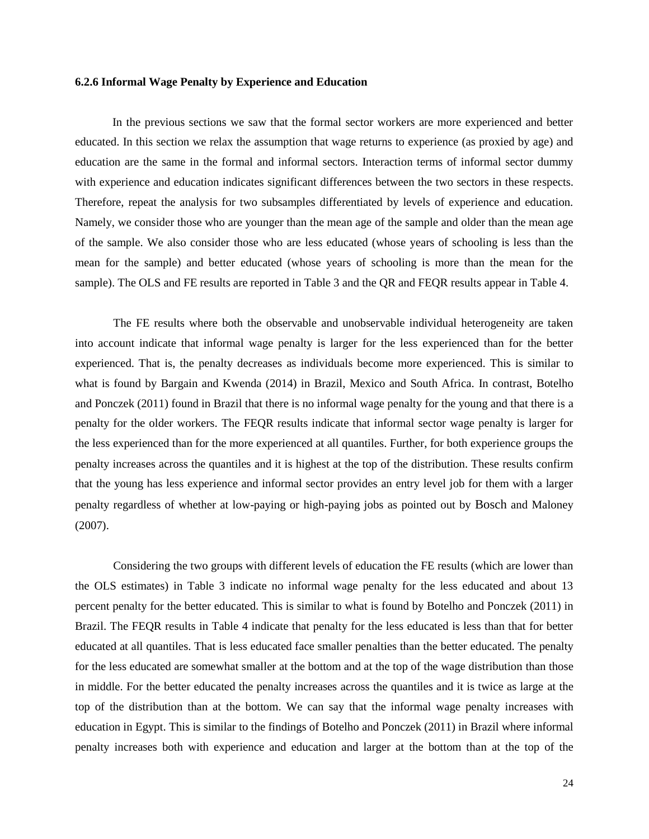#### **6.2.6 Informal Wage Penalty by Experience and Education**

In the previous sections we saw that the formal sector workers are more experienced and better educated. In this section we relax the assumption that wage returns to experience (as proxied by age) and education are the same in the formal and informal sectors. Interaction terms of informal sector dummy with experience and education indicates significant differences between the two sectors in these respects. Therefore, repeat the analysis for two subsamples differentiated by levels of experience and education. Namely, we consider those who are younger than the mean age of the sample and older than the mean age of the sample. We also consider those who are less educated (whose years of schooling is less than the mean for the sample) and better educated (whose years of schooling is more than the mean for the sample). The OLS and FE results are reported in Table 3 and the QR and FEQR results appear in Table 4.

The FE results where both the observable and unobservable individual heterogeneity are taken into account indicate that informal wage penalty is larger for the less experienced than for the better experienced. That is, the penalty decreases as individuals become more experienced. This is similar to what is found by Bargain and Kwenda (2014) in Brazil, Mexico and South Africa. In contrast, Botelho and Ponczek (2011) found in Brazil that there is no informal wage penalty for the young and that there is a penalty for the older workers. The FEQR results indicate that informal sector wage penalty is larger for the less experienced than for the more experienced at all quantiles. Further, for both experience groups the penalty increases across the quantiles and it is highest at the top of the distribution. These results confirm that the young has less experience and informal sector provides an entry level job for them with a larger penalty regardless of whether at low-paying or high-paying jobs as pointed out by Bosch and Maloney (2007).

Considering the two groups with different levels of education the FE results (which are lower than the OLS estimates) in Table 3 indicate no informal wage penalty for the less educated and about 13 percent penalty for the better educated. This is similar to what is found by Botelho and Ponczek (2011) in Brazil. The FEQR results in Table 4 indicate that penalty for the less educated is less than that for better educated at all quantiles. That is less educated face smaller penalties than the better educated. The penalty for the less educated are somewhat smaller at the bottom and at the top of the wage distribution than those in middle. For the better educated the penalty increases across the quantiles and it is twice as large at the top of the distribution than at the bottom. We can say that the informal wage penalty increases with education in Egypt. This is similar to the findings of Botelho and Ponczek (2011) in Brazil where informal penalty increases both with experience and education and larger at the bottom than at the top of the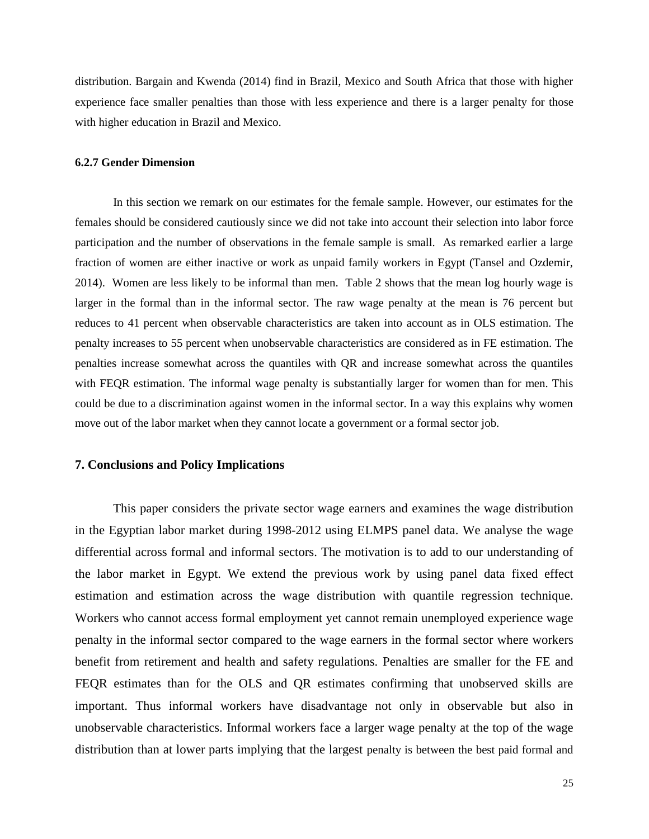distribution. Bargain and Kwenda (2014) find in Brazil, Mexico and South Africa that those with higher experience face smaller penalties than those with less experience and there is a larger penalty for those with higher education in Brazil and Mexico.

#### **6.2.7 Gender Dimension**

In this section we remark on our estimates for the female sample. However, our estimates for the females should be considered cautiously since we did not take into account their selection into labor force participation and the number of observations in the female sample is small. As remarked earlier a large fraction of women are either inactive or work as unpaid family workers in Egypt (Tansel and Ozdemir, 2014). Women are less likely to be informal than men. Table 2 shows that the mean log hourly wage is larger in the formal than in the informal sector. The raw wage penalty at the mean is 76 percent but reduces to 41 percent when observable characteristics are taken into account as in OLS estimation. The penalty increases to 55 percent when unobservable characteristics are considered as in FE estimation. The penalties increase somewhat across the quantiles with QR and increase somewhat across the quantiles with FEQR estimation. The informal wage penalty is substantially larger for women than for men. This could be due to a discrimination against women in the informal sector. In a way this explains why women move out of the labor market when they cannot locate a government or a formal sector job.

#### **7. Conclusions and Policy Implications**

This paper considers the private sector wage earners and examines the wage distribution in the Egyptian labor market during 1998-2012 using ELMPS panel data. We analyse the wage differential across formal and informal sectors. The motivation is to add to our understanding of the labor market in Egypt. We extend the previous work by using panel data fixed effect estimation and estimation across the wage distribution with quantile regression technique. Workers who cannot access formal employment yet cannot remain unemployed experience wage penalty in the informal sector compared to the wage earners in the formal sector where workers benefit from retirement and health and safety regulations. Penalties are smaller for the FE and FEQR estimates than for the OLS and QR estimates confirming that unobserved skills are important. Thus informal workers have disadvantage not only in observable but also in unobservable characteristics. Informal workers face a larger wage penalty at the top of the wage distribution than at lower parts implying that the largest penalty is between the best paid formal and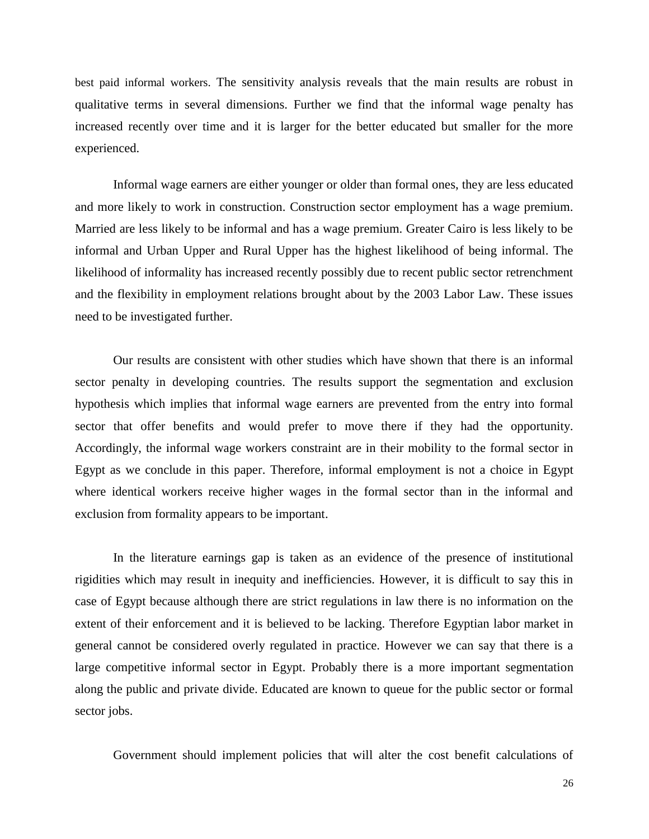best paid informal workers. The sensitivity analysis reveals that the main results are robust in qualitative terms in several dimensions. Further we find that the informal wage penalty has increased recently over time and it is larger for the better educated but smaller for the more experienced.

Informal wage earners are either younger or older than formal ones, they are less educated and more likely to work in construction. Construction sector employment has a wage premium. Married are less likely to be informal and has a wage premium. Greater Cairo is less likely to be informal and Urban Upper and Rural Upper has the highest likelihood of being informal. The likelihood of informality has increased recently possibly due to recent public sector retrenchment and the flexibility in employment relations brought about by the 2003 Labor Law. These issues need to be investigated further.

Our results are consistent with other studies which have shown that there is an informal sector penalty in developing countries. The results support the segmentation and exclusion hypothesis which implies that informal wage earners are prevented from the entry into formal sector that offer benefits and would prefer to move there if they had the opportunity. Accordingly, the informal wage workers constraint are in their mobility to the formal sector in Egypt as we conclude in this paper. Therefore, informal employment is not a choice in Egypt where identical workers receive higher wages in the formal sector than in the informal and exclusion from formality appears to be important.

In the literature earnings gap is taken as an evidence of the presence of institutional rigidities which may result in inequity and inefficiencies. However, it is difficult to say this in case of Egypt because although there are strict regulations in law there is no information on the extent of their enforcement and it is believed to be lacking. Therefore Egyptian labor market in general cannot be considered overly regulated in practice. However we can say that there is a large competitive informal sector in Egypt. Probably there is a more important segmentation along the public and private divide. Educated are known to queue for the public sector or formal sector jobs.

Government should implement policies that will alter the cost benefit calculations of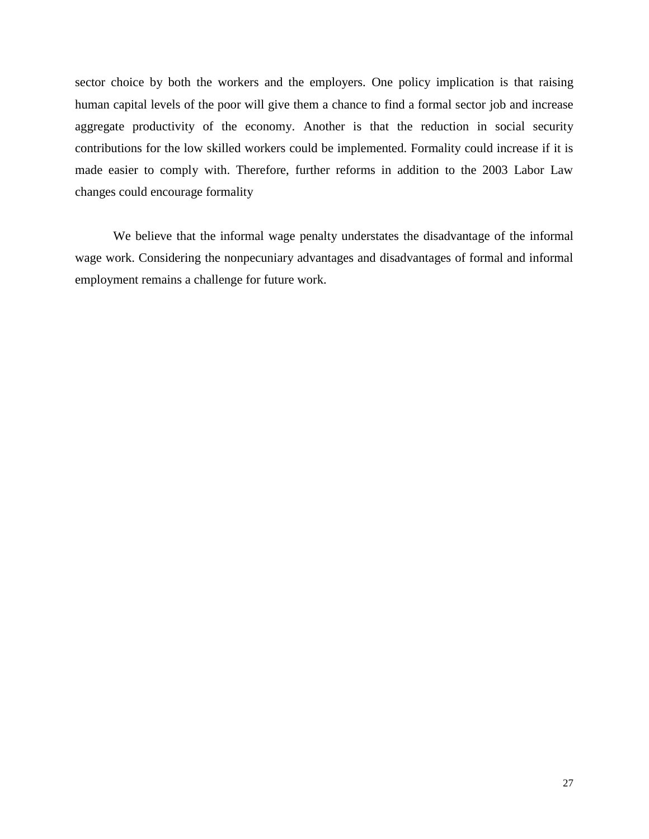sector choice by both the workers and the employers. One policy implication is that raising human capital levels of the poor will give them a chance to find a formal sector job and increase aggregate productivity of the economy. Another is that the reduction in social security contributions for the low skilled workers could be implemented. Formality could increase if it is made easier to comply with. Therefore, further reforms in addition to the 2003 Labor Law changes could encourage formality

We believe that the informal wage penalty understates the disadvantage of the informal wage work. Considering the nonpecuniary advantages and disadvantages of formal and informal employment remains a challenge for future work.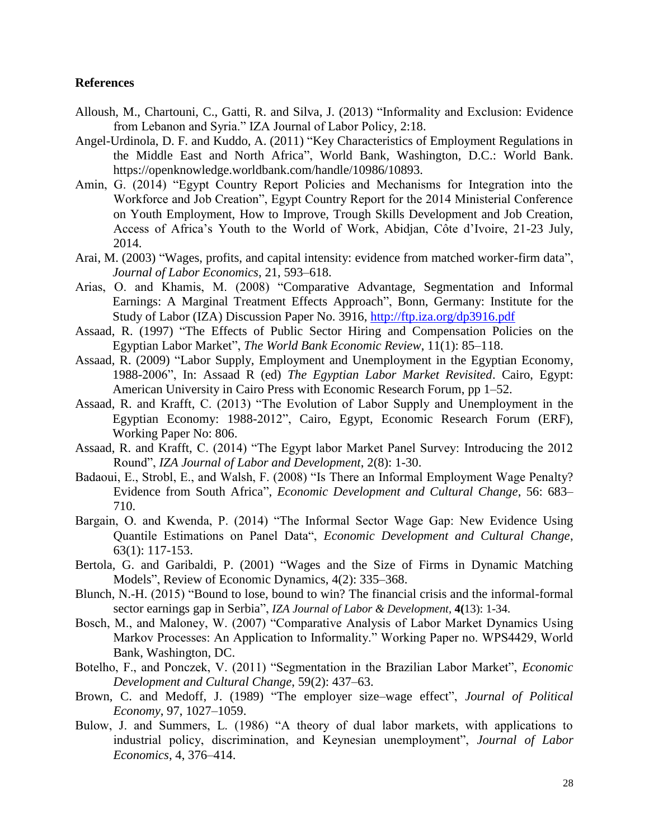### **References**

- Alloush, M., Chartouni, C., Gatti, R. and Silva, J. (2013) "Informality and Exclusion: Evidence from Lebanon and Syria." IZA Journal of Labor Policy, 2:18.
- Angel-Urdinola, D. F. and Kuddo, A. (2011) "Key Characteristics of Employment Regulations in the Middle East and North Africa", World Bank, Washington, D.C.: World Bank. https://openknowledge.worldbank.com/handle/10986/10893.
- Amin, G. (2014) "Egypt Country Report Policies and Mechanisms for Integration into the Workforce and Job Creation", Egypt Country Report for the 2014 Ministerial Conference on Youth Employment, How to Improve, Trough Skills Development and Job Creation, Access of Africa's Youth to the World of Work, Abidjan, Côte d'Ivoire, 21-23 July, 2014.
- Arai, M. (2003) "Wages, profits, and capital intensity: evidence from matched worker-firm data", *Journal of Labor Economics*, 21, 593–618.
- Arias, O. and Khamis, M. (2008) "Comparative Advantage, Segmentation and Informal Earnings: A Marginal Treatment Effects Approach", Bonn, Germany: Institute for the Study of Labor (IZA) Discussion Paper No. 3916, <http://ftp.iza.org/dp3916.pdf>
- Assaad, R. (1997) "The Effects of Public Sector Hiring and Compensation Policies on the Egyptian Labor Market", *The World Bank Economic Review*, 11(1): 85–118.
- Assaad, R. (2009) "Labor Supply, Employment and Unemployment in the Egyptian Economy, 1988-2006", In: Assaad R (ed) *The Egyptian Labor Market Revisited*. Cairo, Egypt: American University in Cairo Press with Economic Research Forum, pp 1–52.
- Assaad, R. and Krafft, C. (2013) "The Evolution of Labor Supply and Unemployment in the Egyptian Economy: 1988-2012", Cairo, Egypt, Economic Research Forum (ERF), Working Paper No: 806.
- Assaad, R. and Krafft, C. (2014) "The Egypt labor Market Panel Survey: Introducing the 2012 Round", *IZA Journal of Labor and Development*, 2(8): 1-30.
- Badaoui, E., Strobl, E., and Walsh, F. (2008) "Is There an Informal Employment Wage Penalty? Evidence from South Africa", *Economic Development and Cultural Change*, 56: 683– 710.
- Bargain, O. and Kwenda, P. (2014) "The Informal Sector Wage Gap: New Evidence Using Quantile Estimations on Panel Data", *Economic Development and Cultural Change*, 63(1): 117-153.
- Bertola, G. and Garibaldi, P. (2001) "Wages and the Size of Firms in Dynamic Matching Models", Review of Economic Dynamics, 4(2): 335–368.
- Blunch, N.-H. (2015) "Bound to lose, bound to win? The financial crisis and the informal-formal sector earnings gap in Serbia", *IZA Journal of Labor & Development*, **4(**13): 1-34.
- Bosch, M., and Maloney, W. (2007) "Comparative Analysis of Labor Market Dynamics Using Markov Processes: An Application to Informality." Working Paper no. WPS4429, World Bank, Washington, DC.
- Botelho, F., and Ponczek, V. (2011) "Segmentation in the Brazilian Labor Market", *Economic Development and Cultural Change*, 59(2): 437–63.
- Brown, C. and Medoff, J. (1989) "The employer size–wage effect", *Journal of Political Economy*, 97, 1027–1059.
- Bulow, J. and Summers, L. (1986) "A theory of dual labor markets, with applications to industrial policy, discrimination, and Keynesian unemployment", *Journal of Labor Economics*, 4, 376–414.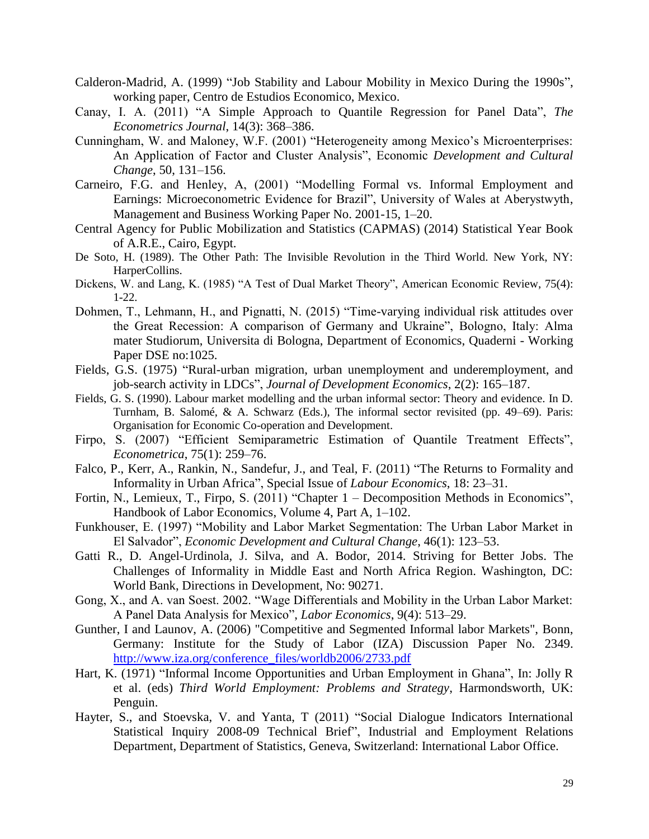- Calderon-Madrid, A. (1999) "Job Stability and Labour Mobility in Mexico During the 1990s", working paper, Centro de Estudios Economico, Mexico.
- Canay, I. A. (2011) "A Simple Approach to Quantile Regression for Panel Data", *The Econometrics Journal*, 14(3): 368–386.
- Cunningham, W. and Maloney, W.F. (2001) "Heterogeneity among Mexico's Microenterprises: An Application of Factor and Cluster Analysis", Economic *Development and Cultural Change*, 50, 131–156.
- Carneiro, F.G. and Henley, A, (2001) "Modelling Formal vs. Informal Employment and Earnings: Microeconometric Evidence for Brazil", University of Wales at Aberystwyth, Management and Business Working Paper No. 2001-15, 1–20.
- Central Agency for Public Mobilization and Statistics (CAPMAS) (2014) Statistical Year Book of A.R.E., Cairo, Egypt.
- De Soto, H. (1989). The Other Path: The Invisible Revolution in the Third World. New York, NY: HarperCollins.
- Dickens, W. and Lang, K. (1985) "A Test of Dual Market Theory", American Economic Review, 75(4): 1-22.
- Dohmen, T., Lehmann, H., and Pignatti, N. (2015) "Time-varying individual risk attitudes over the Great Recession: A comparison of Germany and Ukraine", Bologno, Italy: Alma mater Studiorum, Universita di Bologna, Department of Economics, Quaderni - Working Paper DSE no:1025.
- Fields, G.S. (1975) "Rural-urban migration, urban unemployment and underemployment, and job-search activity in LDCs", *Journal of Development Economics*, 2(2): 165–187.
- Fields, G. S. (1990). Labour market modelling and the urban informal sector: Theory and evidence. In D. Turnham, B. Salomé, & A. Schwarz (Eds.), The informal sector revisited (pp. 49–69). Paris: Organisation for Economic Co-operation and Development.
- Firpo, S. (2007) "Efficient Semiparametric Estimation of Quantile Treatment Effects", *Econometrica*, 75(1): 259–76.
- Falco, P., Kerr, A., Rankin, N., Sandefur, J., and Teal, F. (2011) "The Returns to Formality and Informality in Urban Africa", Special Issue of *Labour Economics*, 18: 23–31.
- Fortin, N., Lemieux, T., Firpo, S. (2011) "Chapter 1 Decomposition Methods in Economics", Handbook of Labor Economics, Volume 4, Part A, 1–102.
- Funkhouser, E. (1997) "Mobility and Labor Market Segmentation: The Urban Labor Market in El Salvador", *Economic Development and Cultural Change*, 46(1): 123–53.
- Gatti R., D. Angel-Urdinola, J. Silva, and A. Bodor, 2014. Striving for Better Jobs. The Challenges of Informality in Middle East and North Africa Region. Washington, DC: World Bank, Directions in Development, No: 90271.
- Gong, X., and A. van Soest. 2002. "Wage Differentials and Mobility in the Urban Labor Market: A Panel Data Analysis for Mexico", *Labor Economics*, 9(4): 513–29.
- Gunther, I and Launov, A. (2006) "Competitive and Segmented Informal labor Markets", Bonn, Germany: Institute for the Study of Labor (IZA) Discussion Paper No. 2349. [http://www.iza.org/conference\\_files/worldb2006/2733.pdf](http://www.iza.org/conference_files/worldb2006/2733.pdf)
- Hart, K. (1971) "Informal Income Opportunities and Urban Employment in Ghana", In: Jolly R et al. (eds) *Third World Employment: Problems and Strategy*, Harmondsworth, UK: Penguin.
- Hayter, S., and Stoevska, V. and Yanta, T (2011) "Social Dialogue Indicators International Statistical Inquiry 2008-09 Technical Brief", Industrial and Employment Relations Department, Department of Statistics, Geneva, Switzerland: International Labor Office.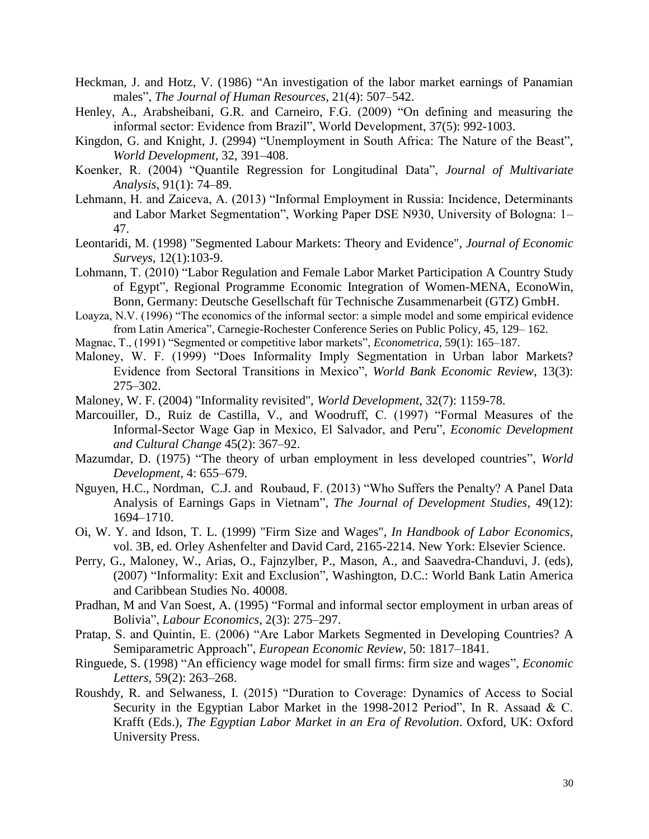- Heckman, J. and Hotz, V. (1986) "An investigation of the labor market earnings of Panamian males", *The Journal of Human Resources*, 21(4): 507–542.
- Henley, A., Arabsheibani, G.R. and Carneiro, F.G. (2009) "On defining and measuring the informal sector: Evidence from Brazil", World Development, 37(5): 992-1003.
- Kingdon, G. and Knight, J. (2994) "Unemployment in South Africa: The Nature of the Beast", *World Development*, 32, 391–408.
- Koenker, R. (2004) "Quantile Regression for Longitudinal Data", *Journal of Multivariate Analysis*, 91(1): 74–89.
- Lehmann, H. and Zaiceva, A. (2013) "Informal Employment in Russia: Incidence, Determinants and Labor Market Segmentation", Working Paper DSE N930, University of Bologna: 1– 47.
- Leontaridi, M. (1998) "Segmented Labour Markets: Theory and Evidence", *Journal of Economic Surveys*, 12(1):103-9.
- Lohmann, T. (2010) "Labor Regulation and Female Labor Market Participation A Country Study of Egypt", Regional Programme Economic Integration of Women-MENA, EconoWin, Bonn, Germany: Deutsche Gesellschaft für Technische Zusammenarbeit (GTZ) GmbH.
- Loayza, N.V. (1996) "The economics of the informal sector: a simple model and some empirical evidence from Latin America", Carnegie-Rochester Conference Series on Public Policy, 45, 129– 162.
- Magnac, T., (1991) "Segmented or competitive labor markets", *Econometrica*, 59(1): 165–187.
- Maloney, W. F. (1999) "Does Informality Imply Segmentation in Urban labor Markets? Evidence from Sectoral Transitions in Mexico", *World Bank Economic Review*, 13(3): 275–302.
- Maloney, W. F. (2004) "Informality revisited", *World Development*, 32(7): 1159-78.
- Marcouiller, D., Ruiz de Castilla, V., and Woodruff, C. (1997) "Formal Measures of the Informal-Sector Wage Gap in Mexico, El Salvador, and Peru", *Economic Development and Cultural Change* 45(2): 367–92.
- Mazumdar, D. (1975) "The theory of urban employment in less developed countries", *World Development*, 4: 655–679.
- Nguyen, H.C., Nordman, C.J. and Roubaud, F. (2013) "Who Suffers the Penalty? A Panel Data Analysis of Earnings Gaps in Vietnam", *The Journal of Development Studies*, 49(12): 1694–1710.
- Oi, W. Y. and Idson, T. L. (1999) "Firm Size and Wages", *In Handbook of Labor Economics*, vol. 3B, ed. Orley Ashenfelter and David Card, 2165-2214. New York: Elsevier Science.
- Perry, G., Maloney, W., Arias, O., Fajnzylber, P., Mason, A., and Saavedra-Chanduvi, J. (eds), (2007) "Informality: Exit and Exclusion", Washington, D.C.: World Bank Latin America and Caribbean Studies No. 40008.
- Pradhan, M and Van Soest, A. (1995) "Formal and informal sector employment in urban areas of Bolivia", *Labour Economics*, 2(3): 275–297.
- Pratap, S. and Quintin, E. (2006) "Are Labor Markets Segmented in Developing Countries? A Semiparametric Approach", *European Economic Review*, 50: 1817–1841.
- Ringuede, S. (1998) "An efficiency wage model for small firms: firm size and wages", *Economic Letters*, 59(2): 263–268.
- Roushdy, R. and Selwaness, I. (2015) "Duration to Coverage: Dynamics of Access to Social Security in the Egyptian Labor Market in the 1998-2012 Period", In R. Assaad & C. Krafft (Eds.), *The Egyptian Labor Market in an Era of Revolution*. Oxford, UK: Oxford University Press.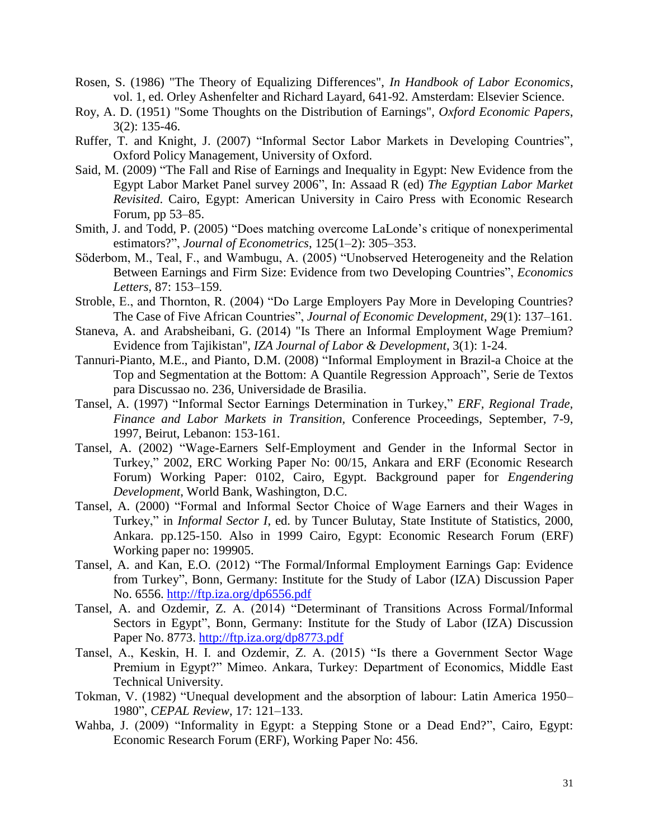- Rosen, S. (1986) "The Theory of Equalizing Differences", *In Handbook of Labor Economics*, vol. 1, ed. Orley Ashenfelter and Richard Layard, 641-92. Amsterdam: Elsevier Science.
- Roy, A. D. (1951) "Some Thoughts on the Distribution of Earnings", *Oxford Economic Papers*, 3(2): 135-46.
- Ruffer, T. and Knight, J. (2007) "Informal Sector Labor Markets in Developing Countries", Oxford Policy Management, University of Oxford.
- Said, M. (2009) "The Fall and Rise of Earnings and Inequality in Egypt: New Evidence from the Egypt Labor Market Panel survey 2006", In: Assaad R (ed) *The Egyptian Labor Market Revisited*. Cairo, Egypt: American University in Cairo Press with Economic Research Forum, pp 53–85.
- Smith, J. and Todd, P. (2005) "Does matching overcome LaLonde's critique of nonexperimental estimators?", *Journal of Econometrics*, 125(1–2): 305–353.
- Söderbom, M., Teal, F., and Wambugu, A. (2005) "Unobserved Heterogeneity and the Relation Between Earnings and Firm Size: Evidence from two Developing Countries", *Economics Letters*, 87: 153–159.
- Stroble, E., and Thornton, R. (2004) "Do Large Employers Pay More in Developing Countries? The Case of Five African Countries", *Journal of Economic Development*, 29(1): 137–161.
- Staneva, A. and Arabsheibani, G. (2014) "Is There an Informal Employment Wage Premium? Evidence from Tajikistan", *IZA Journal of Labor & Development*, 3(1): 1-24.
- Tannuri-Pianto, M.E., and Pianto, D.M. (2008) "Informal Employment in Brazil-a Choice at the Top and Segmentation at the Bottom: A Quantile Regression Approach", Serie de Textos para Discussao no. 236, Universidade de Brasilia.
- Tansel, A. (1997) "Informal Sector Earnings Determination in Turkey," *ERF, Regional Trade, Finance and Labor Markets in Transition,* Conference Proceedings, September, 7-9, 1997, Beirut, Lebanon: 153-161.
- Tansel, A. (2002) "Wage-Earners Self-Employment and Gender in the Informal Sector in Turkey," 2002, ERC Working Paper No: 00/15, Ankara and ERF (Economic Research Forum) Working Paper: 0102, Cairo, Egypt. Background paper for *Engendering Development*, World Bank, Washington, D.C.
- Tansel, A. (2000) "Formal and Informal Sector Choice of Wage Earners and their Wages in Turkey," in *Informal Sector I*, ed. by Tuncer Bulutay, State Institute of Statistics, 2000, Ankara. pp.125-150. Also in 1999 Cairo, Egypt: Economic Research Forum (ERF) Working paper no: 199905.
- Tansel, A. and Kan, E.O. (2012) "The Formal/Informal Employment Earnings Gap: Evidence from Turkey", Bonn, Germany: Institute for the Study of Labor (IZA) Discussion Paper No. 6556.<http://ftp.iza.org/dp6556.pdf>
- Tansel, A. and Ozdemir, Z. A. (2014) "Determinant of Transitions Across Formal/Informal Sectors in Egypt", Bonn, Germany: Institute for the Study of Labor (IZA) Discussion Paper No. 8773. <http://ftp.iza.org/dp8773.pdf>
- Tansel, A., Keskin, H. I. and Ozdemir, Z. A. (2015) "Is there a Government Sector Wage Premium in Egypt?" Mimeo. Ankara, Turkey: Department of Economics, Middle East Technical University.
- Tokman, V. (1982) "Unequal development and the absorption of labour: Latin America 1950– 1980", *CEPAL Review*, 17: 121–133.
- Wahba, J. (2009) "Informality in Egypt: a Stepping Stone or a Dead End?", Cairo, Egypt: Economic Research Forum (ERF), Working Paper No: 456.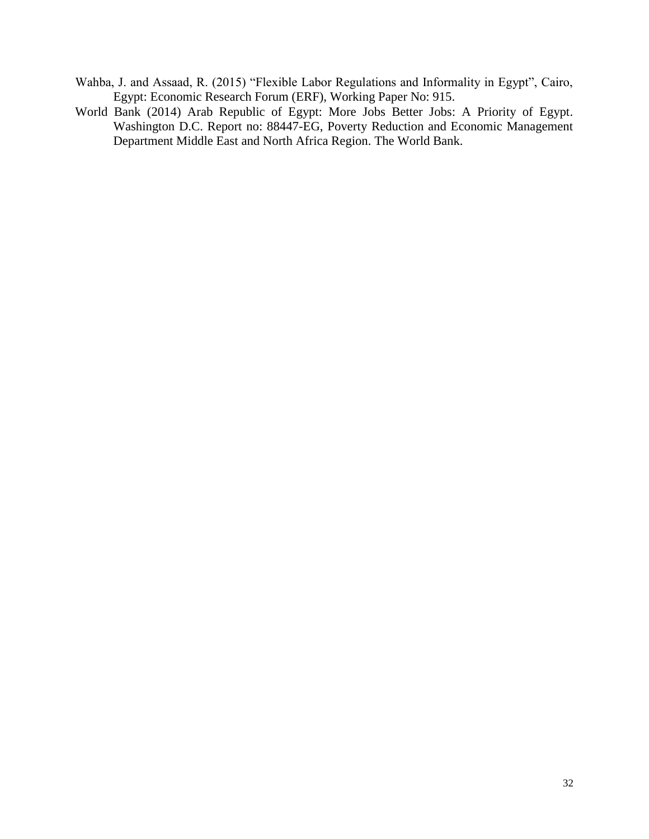- Wahba, J. and Assaad, R. (2015) "Flexible Labor Regulations and Informality in Egypt", Cairo, Egypt: Economic Research Forum (ERF), Working Paper No: 915.
- World Bank (2014) Arab Republic of Egypt: More Jobs Better Jobs: A Priority of Egypt. Washington D.C. Report no: 88447-EG, Poverty Reduction and Economic Management Department Middle East and North Africa Region. The World Bank.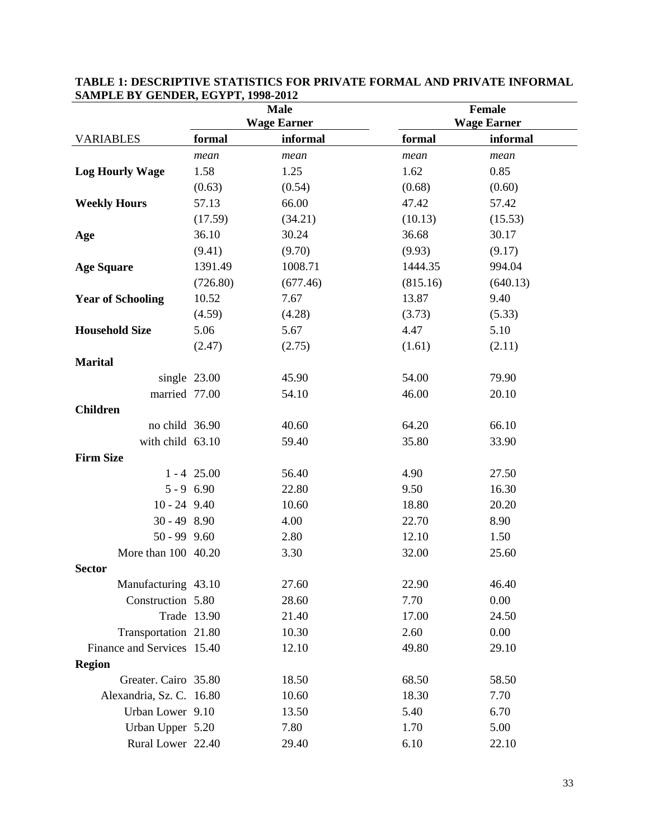|                            | <b>Male</b>   |                    |          | Female             |  |  |
|----------------------------|---------------|--------------------|----------|--------------------|--|--|
|                            |               | <b>Wage Earner</b> |          | <b>Wage Earner</b> |  |  |
| <b>VARIABLES</b>           | formal        | informal           | formal   | informal           |  |  |
|                            | mean          | mean               | mean     | mean               |  |  |
| <b>Log Hourly Wage</b>     | 1.58          | 1.25               | 1.62     | 0.85               |  |  |
|                            | (0.63)        | (0.54)             | (0.68)   | (0.60)             |  |  |
| <b>Weekly Hours</b>        | 57.13         | 66.00              | 47.42    | 57.42              |  |  |
|                            | (17.59)       | (34.21)            | (10.13)  | (15.53)            |  |  |
| Age                        | 36.10         | 30.24              | 36.68    | 30.17              |  |  |
|                            | (9.41)        | (9.70)             | (9.93)   | (9.17)             |  |  |
| <b>Age Square</b>          | 1391.49       | 1008.71            | 1444.35  | 994.04             |  |  |
|                            | (726.80)      | (677.46)           | (815.16) | (640.13)           |  |  |
| <b>Year of Schooling</b>   | 10.52         | 7.67               | 13.87    | 9.40               |  |  |
|                            | (4.59)        | (4.28)             | (3.73)   | (5.33)             |  |  |
| <b>Household Size</b>      | 5.06          | 5.67               | 4.47     | 5.10               |  |  |
|                            | (2.47)        | (2.75)             | (1.61)   | (2.11)             |  |  |
| <b>Marital</b>             |               |                    |          |                    |  |  |
| single 23.00               |               | 45.90              | 54.00    | 79.90              |  |  |
| married 77.00              |               | 54.10              | 46.00    | 20.10              |  |  |
| <b>Children</b>            |               |                    |          |                    |  |  |
| no child 36.90             |               | 40.60              | 64.20    | 66.10              |  |  |
| with child 63.10           |               | 59.40              | 35.80    | 33.90              |  |  |
| <b>Firm Size</b>           |               |                    |          |                    |  |  |
|                            | $1 - 4$ 25.00 | 56.40              | 4.90     | 27.50              |  |  |
| $5 - 9$ 6.90               |               | 22.80              | 9.50     | 16.30              |  |  |
| $10 - 24$ 9.40             |               | 10.60              | 18.80    | 20.20              |  |  |
| $30 - 498.90$              |               | 4.00               | 22.70    | 8.90               |  |  |
| $50 - 99$ $9.60$           |               | 2.80               | 12.10    | 1.50               |  |  |
| More than 100 40.20        |               | 3.30               | 32.00    | 25.60              |  |  |
| <b>Sector</b>              |               |                    |          |                    |  |  |
| Manufacturing 43.10        |               | 27.60              | 22.90    | 46.40              |  |  |
| Construction 5.80          |               | 28.60              | 7.70     | 0.00               |  |  |
| Trade 13.90                |               | 21.40              | 17.00    | 24.50              |  |  |
| Transportation 21.80       |               | 10.30              | 2.60     | 0.00               |  |  |
| Finance and Services 15.40 |               | 12.10              | 49.80    | 29.10              |  |  |
| <b>Region</b>              |               |                    |          |                    |  |  |
| Greater. Cairo 35.80       |               | 18.50              | 68.50    | 58.50              |  |  |
| Alexandria, Sz. C. 16.80   |               | 10.60              | 18.30    | 7.70               |  |  |
| Urban Lower 9.10           |               | 13.50              | 5.40     | 6.70               |  |  |
| Urban Upper 5.20           |               | 7.80               | 1.70     | 5.00               |  |  |
| Rural Lower 22.40          |               | 29.40              | 6.10     | 22.10              |  |  |

### **TABLE 1: DESCRIPTIVE STATISTICS FOR PRIVATE FORMAL AND PRIVATE INFORMAL SAMPLE BY GENDER, EGYPT, 1998-2012**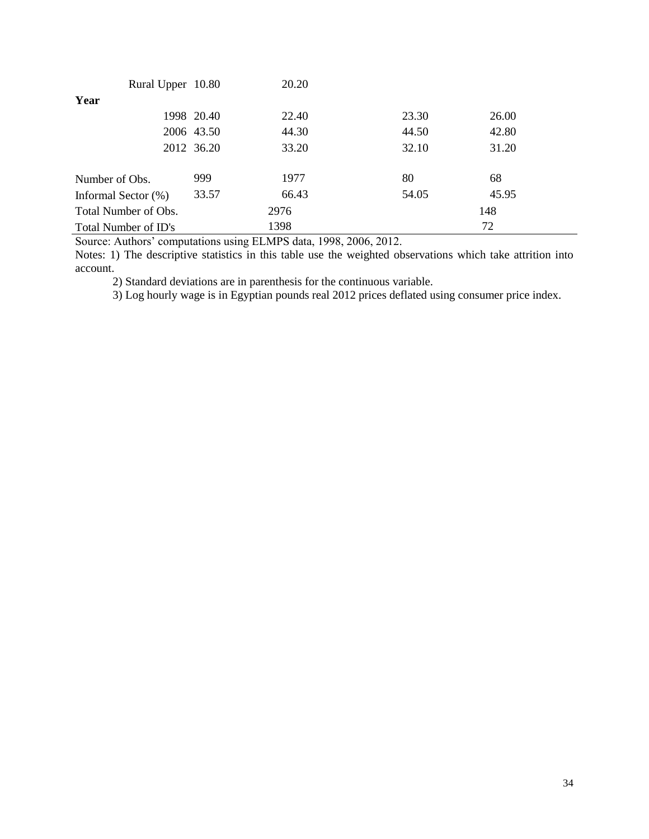| Rural Upper 10.80    |            | 20.20 |       |       |
|----------------------|------------|-------|-------|-------|
| Year                 |            |       |       |       |
|                      | 1998 20.40 | 22.40 | 23.30 | 26.00 |
|                      | 2006 43.50 | 44.30 | 44.50 | 42.80 |
|                      | 2012 36.20 | 33.20 | 32.10 | 31.20 |
|                      |            |       |       |       |
| Number of Obs.       | 999        | 1977  | 80    | 68    |
| Informal Sector (%)  | 33.57      | 66.43 | 54.05 | 45.95 |
| Total Number of Obs. |            | 2976  |       | 148   |
| Total Number of ID's |            | 1398  |       | 72    |

Notes: 1) The descriptive statistics in this table use the weighted observations which take attrition into account.

2) Standard deviations are in parenthesis for the continuous variable.

3) Log hourly wage is in Egyptian pounds real 2012 prices deflated using consumer price index.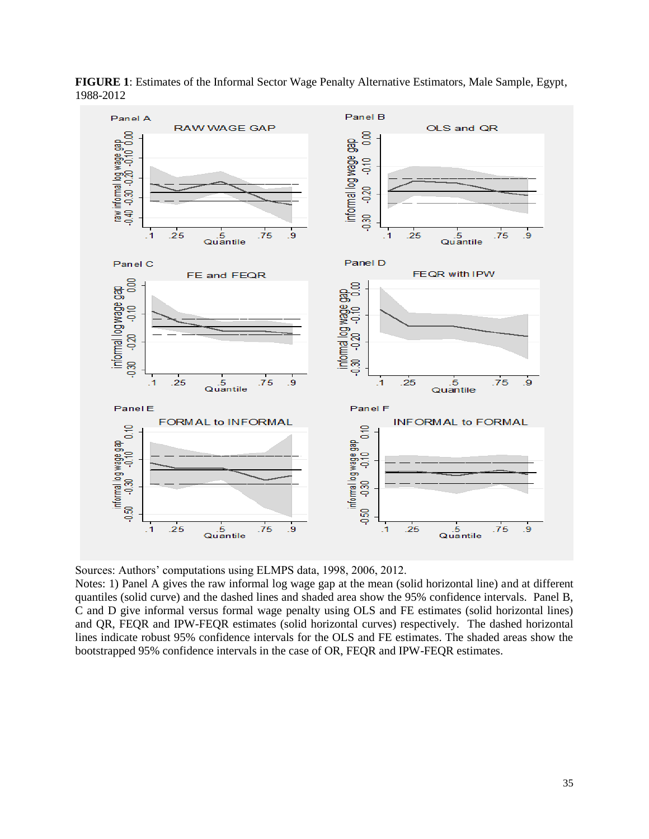

**FIGURE 1**: Estimates of the Informal Sector Wage Penalty Alternative Estimators, Male Sample, Egypt, 1988-2012

Notes: 1) Panel A gives the raw informal log wage gap at the mean (solid horizontal line) and at different quantiles (solid curve) and the dashed lines and shaded area show the 95% confidence intervals. Panel B, C and D give informal versus formal wage penalty using OLS and FE estimates (solid horizontal lines) and QR, FEQR and IPW-FEQR estimates (solid horizontal curves) respectively. The dashed horizontal lines indicate robust 95% confidence intervals for the OLS and FE estimates. The shaded areas show the bootstrapped 95% confidence intervals in the case of OR, FEQR and IPW-FEQR estimates.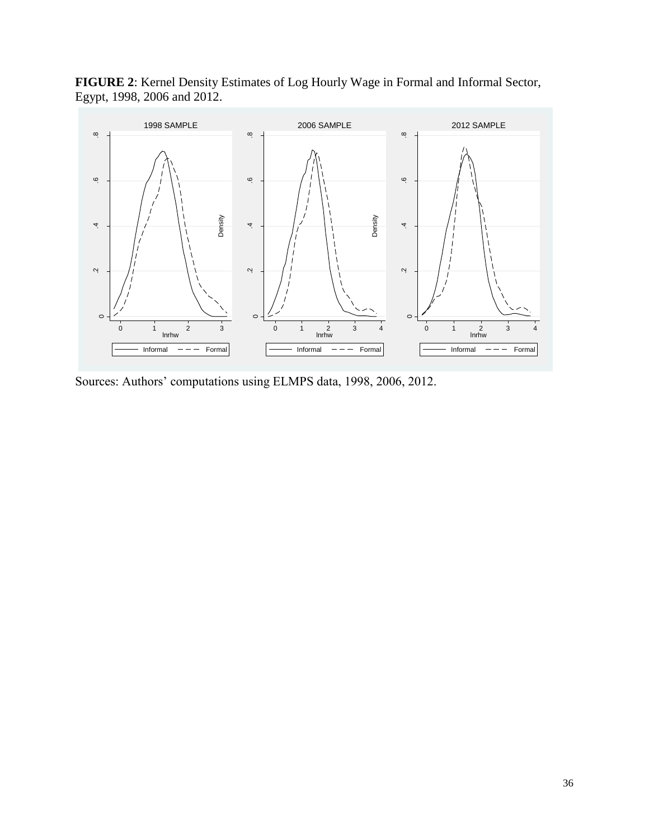**FIGURE 2**: Kernel Density Estimates of Log Hourly Wage in Formal and Informal Sector, Egypt, 1998, 2006 and 2012.



Sources: Authors' computations using ELMPS data, 1998, 2006, 2012.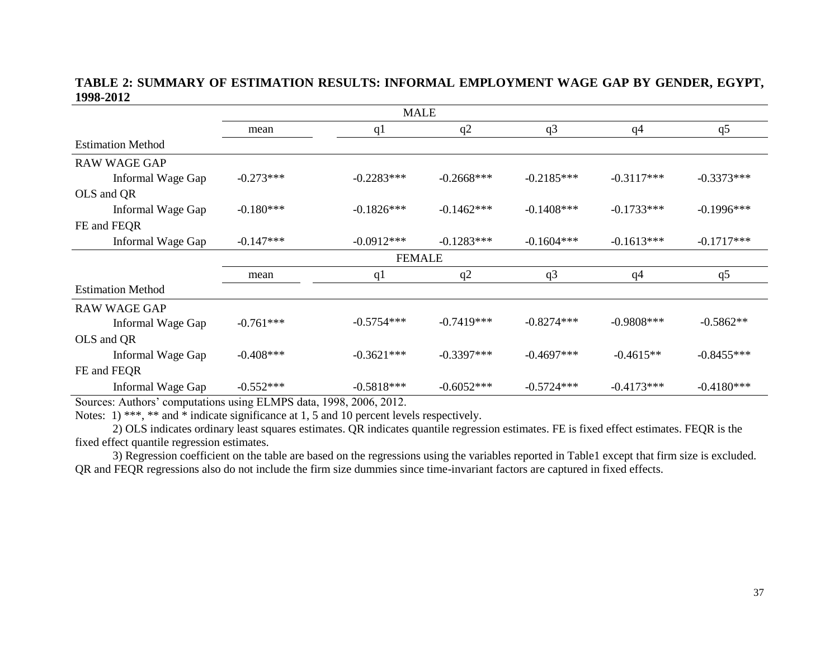### **TABLE 2: SUMMARY OF ESTIMATION RESULTS: INFORMAL EMPLOYMENT WAGE GAP BY GENDER, EGYPT, 1998-2012**

|                          |             | <b>MALE</b>   |              |                |                |              |  |  |  |
|--------------------------|-------------|---------------|--------------|----------------|----------------|--------------|--|--|--|
|                          | mean        | q1            | q2           | q <sub>3</sub> | q4             | q5           |  |  |  |
| <b>Estimation Method</b> |             |               |              |                |                |              |  |  |  |
| <b>RAW WAGE GAP</b>      |             |               |              |                |                |              |  |  |  |
| Informal Wage Gap        | $-0.273***$ | $-0.2283***$  | $-0.2668***$ | $-0.2185***$   | $-0.3117***$   | $-0.3373***$ |  |  |  |
| OLS and QR               |             |               |              |                |                |              |  |  |  |
| Informal Wage Gap        | $-0.180***$ | $-0.1826***$  | $-0.1462***$ | $-0.1408$ ***  | $-0.1733***$   | $-0.1996***$ |  |  |  |
| FE and FEQR              |             |               |              |                |                |              |  |  |  |
| Informal Wage Gap        | $-0.147***$ | $-0.0912***$  | $-0.1283***$ | $-0.1604***$   | $-0.1613***$   | $-0.1717***$ |  |  |  |
|                          |             | <b>FEMALE</b> |              |                |                |              |  |  |  |
|                          | mean        | q1            | q2           | q <sub>3</sub> | q <sub>4</sub> | q5           |  |  |  |
| <b>Estimation Method</b> |             |               |              |                |                |              |  |  |  |
| <b>RAW WAGE GAP</b>      |             |               |              |                |                |              |  |  |  |
| Informal Wage Gap        | $-0.761***$ | $-0.5754***$  | $-0.7419***$ | $-0.8274***$   | $-0.9808$ ***  | $-0.5862**$  |  |  |  |
| OLS and QR               |             |               |              |                |                |              |  |  |  |
| Informal Wage Gap        | $-0.408***$ | $-0.3621***$  | $-0.3397***$ | $-0.4697***$   | $-0.4615**$    | $-0.8455***$ |  |  |  |
| FE and FEQR              |             |               |              |                |                |              |  |  |  |
| Informal Wage Gap        | $-0.552***$ | $-0.5818***$  | $-0.6052***$ | $-0.5724***$   | $-0.4173***$   | $-0.4180***$ |  |  |  |

Sources: Authors' computations using ELMPS data, 1998, 2006, 2012.

Notes: 1) \*\*\*, \*\* and \* indicate significance at 1, 5 and 10 percent levels respectively.

2) OLS indicates ordinary least squares estimates. QR indicates quantile regression estimates. FE is fixed effect estimates. FEQR is the fixed effect quantile regression estimates.

3) Regression coefficient on the table are based on the regressions using the variables reported in Table1 except that firm size is excluded. QR and FEQR regressions also do not include the firm size dummies since time-invariant factors are captured in fixed effects.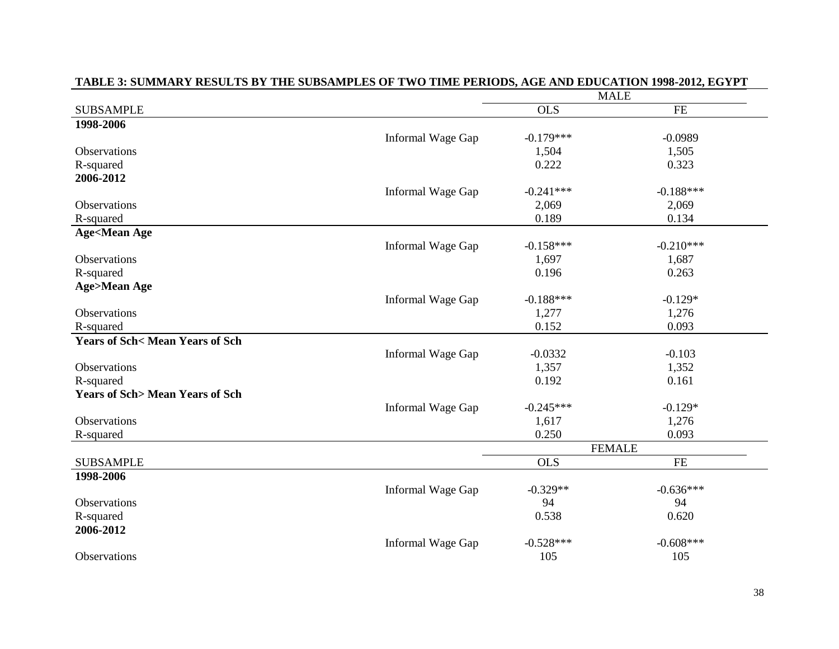|                                           |                   |             | <b>MALE</b>   |  |
|-------------------------------------------|-------------------|-------------|---------------|--|
| <b>SUBSAMPLE</b>                          |                   | <b>OLS</b>  | <b>FE</b>     |  |
| 1998-2006                                 |                   |             |               |  |
|                                           | Informal Wage Gap | $-0.179***$ | $-0.0989$     |  |
| Observations                              |                   | 1,504       | 1,505         |  |
| R-squared                                 |                   | 0.222       | 0.323         |  |
| 2006-2012                                 |                   |             |               |  |
|                                           | Informal Wage Gap | $-0.241***$ | $-0.188***$   |  |
| <b>Observations</b>                       |                   | 2,069       | 2,069         |  |
| R-squared                                 |                   | 0.189       | 0.134         |  |
| <b>Age<mean age<="" b=""></mean></b>      |                   |             |               |  |
|                                           | Informal Wage Gap | $-0.158***$ | $-0.210***$   |  |
| Observations                              |                   | 1,697       | 1,687         |  |
| R-squared                                 |                   | 0.196       | 0.263         |  |
| <b>Age&gt;Mean Age</b>                    |                   |             |               |  |
|                                           | Informal Wage Gap | $-0.188***$ | $-0.129*$     |  |
| Observations                              |                   | 1,277       | 1,276         |  |
| R-squared                                 |                   | 0.152       | 0.093         |  |
| <b>Years of Sch&lt; Mean Years of Sch</b> |                   |             |               |  |
|                                           | Informal Wage Gap | $-0.0332$   | $-0.103$      |  |
| <b>Observations</b>                       |                   | 1,357       | 1,352         |  |
| R-squared                                 |                   | 0.192       | 0.161         |  |
| <b>Years of Sch&gt; Mean Years of Sch</b> |                   |             |               |  |
|                                           | Informal Wage Gap | $-0.245***$ | $-0.129*$     |  |
| Observations                              |                   | 1,617       | 1,276         |  |
| R-squared                                 |                   | 0.250       | 0.093         |  |
|                                           |                   |             | <b>FEMALE</b> |  |
| <b>SUBSAMPLE</b>                          |                   | <b>OLS</b>  | <b>FE</b>     |  |
| 1998-2006                                 |                   |             |               |  |
|                                           | Informal Wage Gap | $-0.329**$  | $-0.636***$   |  |
| Observations                              |                   | 94          | 94            |  |
| R-squared                                 |                   | 0.538       | 0.620         |  |
| 2006-2012                                 |                   |             |               |  |
|                                           | Informal Wage Gap | $-0.528***$ | $-0.608***$   |  |
| Observations                              |                   | 105         | 105           |  |

### **TABLE 3: SUMMARY RESULTS BY THE SUBSAMPLES OF TWO TIME PERIODS, AGE AND EDUCATION 1998-2012, EGYPT**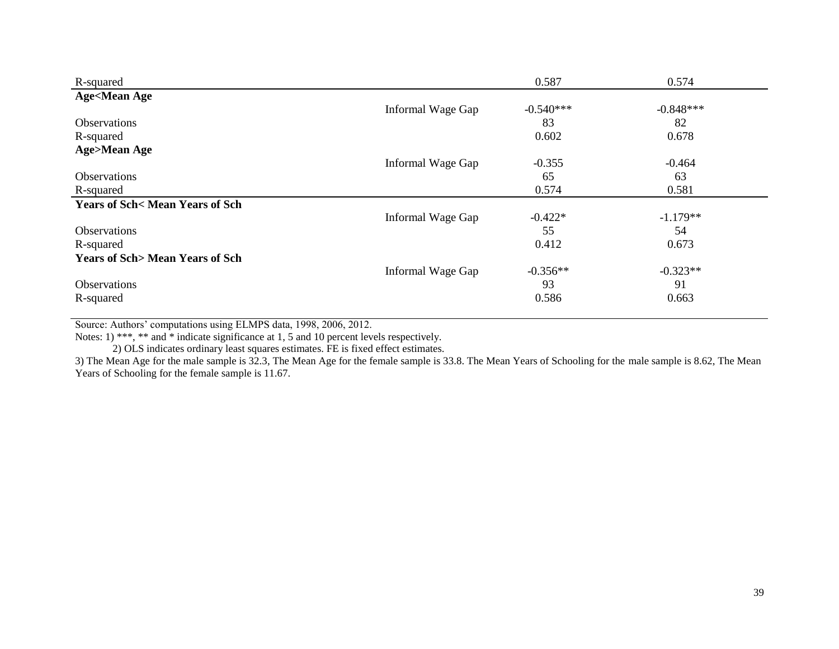| R-squared                                 |                   | 0.587       | 0.574       |
|-------------------------------------------|-------------------|-------------|-------------|
| <b>Age<mean age<="" b=""></mean></b>      |                   |             |             |
|                                           | Informal Wage Gap | $-0.540***$ | $-0.848***$ |
| <b>Observations</b>                       |                   | 83          | 82          |
| R-squared                                 |                   | 0.602       | 0.678       |
| <b>Age&gt;Mean Age</b>                    |                   |             |             |
|                                           | Informal Wage Gap | $-0.355$    | $-0.464$    |
| Observations                              |                   | 65          | 63          |
| R-squared                                 |                   | 0.574       | 0.581       |
| <b>Years of Sch&lt; Mean Years of Sch</b> |                   |             |             |
|                                           | Informal Wage Gap | $-0.422*$   | $-1.179**$  |
| <b>Observations</b>                       |                   | 55          | 54          |
| R-squared                                 |                   | 0.412       | 0.673       |
| <b>Years of Sch&gt; Mean Years of Sch</b> |                   |             |             |
|                                           | Informal Wage Gap | $-0.356**$  | $-0.323**$  |
| Observations                              |                   | 93          | 91          |
| R-squared                                 |                   | 0.586       | 0.663       |

Notes: 1) \*\*\*, \*\* and \* indicate significance at 1, 5 and 10 percent levels respectively.

2) OLS indicates ordinary least squares estimates. FE is fixed effect estimates.

3) The Mean Age for the male sample is 32.3, The Mean Age for the female sample is 33.8. The Mean Years of Schooling for the male sample is 8.62, The Mean Years of Schooling for the female sample is 11.67.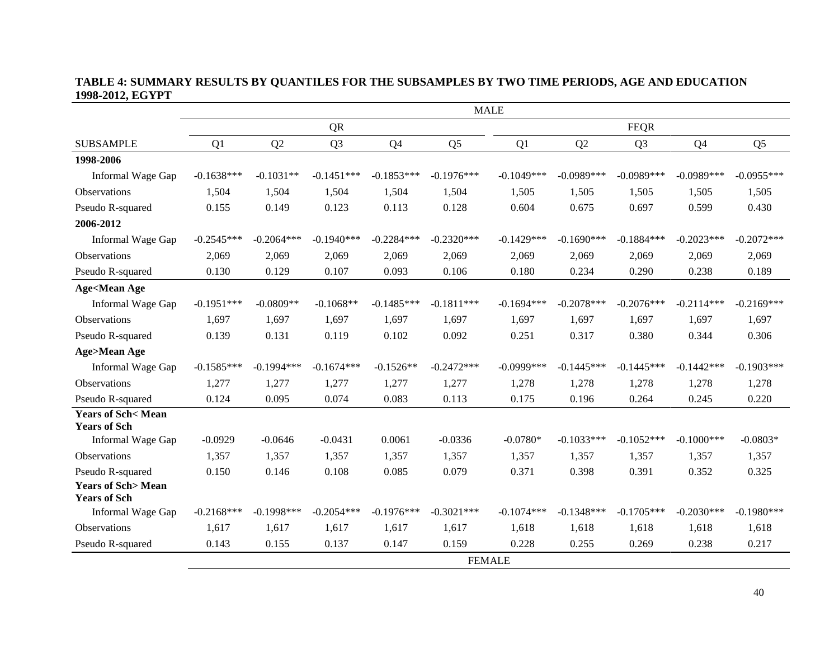### **TABLE 4: SUMMARY RESULTS BY QUANTILES FOR THE SUBSAMPLES BY TWO TIME PERIODS, AGE AND EDUCATION 1998-2012, EGYPT**

|                                                     | <b>MALE</b>  |               |                |                |                |               |              |                |               |                |
|-----------------------------------------------------|--------------|---------------|----------------|----------------|----------------|---------------|--------------|----------------|---------------|----------------|
|                                                     |              |               | <b>QR</b>      |                |                |               |              | <b>FEQR</b>    |               |                |
| <b>SUBSAMPLE</b>                                    | Q1           | Q2            | Q <sub>3</sub> | Q <sub>4</sub> | Q <sub>5</sub> | Q1            | Q2           | Q <sub>3</sub> | Q4            | Q <sub>5</sub> |
| 1998-2006                                           |              |               |                |                |                |               |              |                |               |                |
| Informal Wage Gap                                   | $-0.1638***$ | $-0.1031**$   | $-0.1451***$   | $-0.1853***$   | $-0.1976***$   | $-0.1049***$  | $-0.0989***$ | $-0.0989***$   | $-0.0989***$  | $-0.0955***$   |
| Observations                                        | 1,504        | 1,504         | 1,504          | 1,504          | 1,504          | 1,505         | 1,505        | 1,505          | 1,505         | 1,505          |
| Pseudo R-squared                                    | 0.155        | 0.149         | 0.123          | 0.113          | 0.128          | 0.604         | 0.675        | 0.697          | 0.599         | 0.430          |
| 2006-2012                                           |              |               |                |                |                |               |              |                |               |                |
| Informal Wage Gap                                   | $-0.2545***$ | $-0.2064***$  | $-0.1940***$   | $-0.2284***$   | $-0.2320***$   | $-0.1429***$  | $-0.1690***$ | $-0.1884***$   | $-0.2023***$  | $-0.2072***$   |
| <b>Observations</b>                                 | 2,069        | 2,069         | 2,069          | 2,069          | 2,069          | 2,069         | 2,069        | 2,069          | 2,069         | 2,069          |
| Pseudo R-squared                                    | 0.130        | 0.129         | 0.107          | 0.093          | 0.106          | 0.180         | 0.234        | 0.290          | 0.238         | 0.189          |
| <b>Age<mean age<="" b=""></mean></b>                |              |               |                |                |                |               |              |                |               |                |
| Informal Wage Gap                                   | $-0.1951***$ | $-0.0809**$   | $-0.1068**$    | $-0.1485***$   | $-0.1811***$   | $-0.1694***$  | $-0.2078***$ | $-0.2076***$   | $-0.2114***$  | $-0.2169***$   |
| Observations                                        | 1,697        | 1,697         | 1,697          | 1,697          | 1,697          | 1,697         | 1,697        | 1,697          | 1,697         | 1,697          |
| Pseudo R-squared                                    | 0.139        | 0.131         | 0.119          | 0.102          | 0.092          | 0.251         | 0.317        | 0.380          | 0.344         | 0.306          |
| <b>Age&gt;Mean Age</b>                              |              |               |                |                |                |               |              |                |               |                |
| Informal Wage Gap                                   | $-0.1585***$ | $-0.1994***$  | $-0.1674***$   | $-0.1526**$    | $-0.2472***$   | $-0.0999$ *** | $-0.1445***$ | $-0.1445***$   | $-0.1442***$  | $-0.1903***$   |
| Observations                                        | 1,277        | 1,277         | 1,277          | 1,277          | 1,277          | 1,278         | 1,278        | 1,278          | 1,278         | 1,278          |
| Pseudo R-squared                                    | 0.124        | 0.095         | 0.074          | 0.083          | 0.113          | 0.175         | 0.196        | 0.264          | 0.245         | 0.220          |
| <b>Years of Sch&lt; Mean</b><br><b>Years of Sch</b> |              |               |                |                |                |               |              |                |               |                |
| Informal Wage Gap                                   | $-0.0929$    | $-0.0646$     | $-0.0431$      | 0.0061         | $-0.0336$      | $-0.0780*$    | $-0.1033***$ | $-0.1052***$   | $-0.1000$ *** | $-0.0803*$     |
| Observations                                        | 1.357        | 1,357         | 1,357          | 1,357          | 1,357          | 1,357         | 1,357        | 1,357          | 1,357         | 1,357          |
| Pseudo R-squared                                    | 0.150        | 0.146         | 0.108          | 0.085          | 0.079          | 0.371         | 0.398        | 0.391          | 0.352         | 0.325          |
| <b>Years of Sch&gt;Mean</b><br><b>Years of Sch</b>  |              |               |                |                |                |               |              |                |               |                |
| Informal Wage Gap                                   | $-0.2168***$ | $-0.1998$ *** | $-0.2054***$   | $-0.1976***$   | $-0.3021$ ***  | $-0.1074***$  | $-0.1348***$ | $-0.1705***$   | $-0.2030***$  | $-0.1980***$   |
| <b>Observations</b>                                 | 1,617        | 1,617         | 1,617          | 1,617          | 1,617          | 1,618         | 1,618        | 1,618          | 1,618         | 1,618          |
| Pseudo R-squared                                    | 0.143        | 0.155         | 0.137          | 0.147          | 0.159          | 0.228         | 0.255        | 0.269          | 0.238         | 0.217          |
|                                                     |              |               |                |                | <b>FEMALE</b>  |               |              |                |               |                |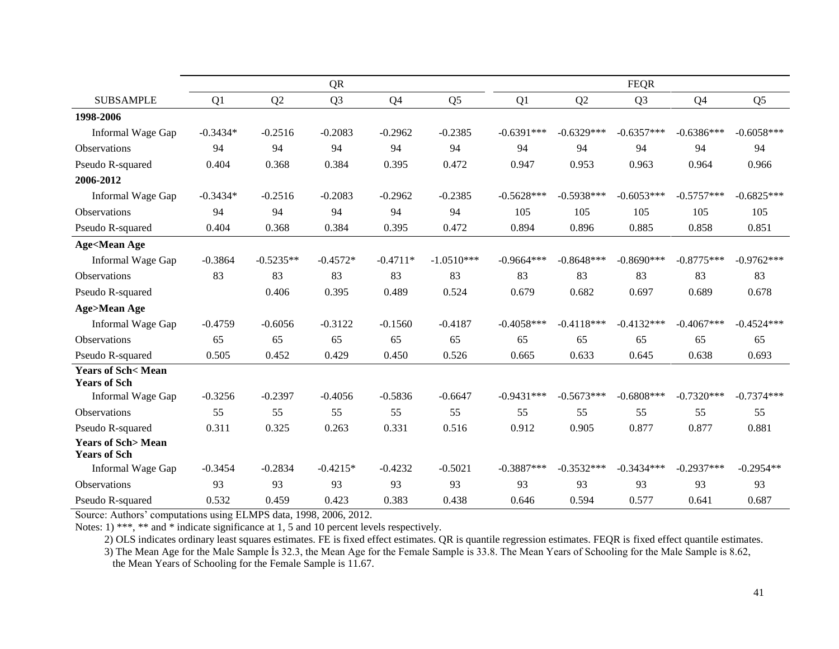|                                                     |            |             | <b>QR</b>      |                |                |              |              | <b>FEQR</b>    |                |                |
|-----------------------------------------------------|------------|-------------|----------------|----------------|----------------|--------------|--------------|----------------|----------------|----------------|
| <b>SUBSAMPLE</b>                                    | Q1         | Q2          | Q <sub>3</sub> | Q <sub>4</sub> | Q <sub>5</sub> | Q1           | Q2           | Q <sub>3</sub> | Q <sub>4</sub> | Q <sub>5</sub> |
| 1998-2006                                           |            |             |                |                |                |              |              |                |                |                |
| Informal Wage Gap                                   | $-0.3434*$ | $-0.2516$   | $-0.2083$      | $-0.2962$      | $-0.2385$      | $-0.6391***$ | $-0.6329***$ | $-0.6357***$   | $-0.6386***$   | $-0.6058***$   |
| <b>Observations</b>                                 | 94         | 94          | 94             | 94             | 94             | 94           | 94           | 94             | 94             | 94             |
| Pseudo R-squared                                    | 0.404      | 0.368       | 0.384          | 0.395          | 0.472          | 0.947        | 0.953        | 0.963          | 0.964          | 0.966          |
| 2006-2012                                           |            |             |                |                |                |              |              |                |                |                |
| Informal Wage Gap                                   | $-0.3434*$ | $-0.2516$   | $-0.2083$      | $-0.2962$      | $-0.2385$      | $-0.5628***$ | $-0.5938***$ | $-0.6053***$   | $-0.5757***$   | $-0.6825***$   |
| Observations                                        | 94         | 94          | 94             | 94             | 94             | 105          | 105          | 105            | 105            | 105            |
| Pseudo R-squared                                    | 0.404      | 0.368       | 0.384          | 0.395          | 0.472          | 0.894        | 0.896        | 0.885          | 0.858          | 0.851          |
| <b>Age<mean age<="" b=""></mean></b>                |            |             |                |                |                |              |              |                |                |                |
| Informal Wage Gap                                   | $-0.3864$  | $-0.5235**$ | $-0.4572*$     | $-0.4711*$     | $-1.0510***$   | $-0.9664***$ | $-0.8648***$ | $-0.8690***$   | $-0.8775***$   | $-0.9762***$   |
| <b>Observations</b>                                 | 83         | 83          | 83             | 83             | 83             | 83           | 83           | 83             | 83             | 83             |
| Pseudo R-squared                                    |            | 0.406       | 0.395          | 0.489          | 0.524          | 0.679        | 0.682        | 0.697          | 0.689          | 0.678          |
| <b>Age&gt;Mean Age</b>                              |            |             |                |                |                |              |              |                |                |                |
| Informal Wage Gap                                   | $-0.4759$  | $-0.6056$   | $-0.3122$      | $-0.1560$      | $-0.4187$      | $-0.4058***$ | $-0.4118***$ | $-0.4132***$   | $-0.4067***$   | $-0.4524***$   |
| <b>Observations</b>                                 | 65         | 65          | 65             | 65             | 65             | 65           | 65           | 65             | 65             | 65             |
| Pseudo R-squared                                    | 0.505      | 0.452       | 0.429          | 0.450          | 0.526          | 0.665        | 0.633        | 0.645          | 0.638          | 0.693          |
| <b>Years of Sch&lt; Mean</b><br><b>Years of Sch</b> |            |             |                |                |                |              |              |                |                |                |
| Informal Wage Gap                                   | $-0.3256$  | $-0.2397$   | $-0.4056$      | $-0.5836$      | $-0.6647$      | $-0.9431***$ | $-0.5673***$ | $-0.6808***$   | $-0.7320***$   | $-0.7374***$   |
| <b>Observations</b>                                 | 55         | 55          | 55             | 55             | 55             | 55           | 55           | 55             | 55             | 55             |
| Pseudo R-squared                                    | 0.311      | 0.325       | 0.263          | 0.331          | 0.516          | 0.912        | 0.905        | 0.877          | 0.877          | 0.881          |
| <b>Years of Sch&gt;Mean</b><br><b>Years of Sch</b>  |            |             |                |                |                |              |              |                |                |                |
| Informal Wage Gap                                   | $-0.3454$  | $-0.2834$   | $-0.4215*$     | $-0.4232$      | $-0.5021$      | $-0.3887***$ | $-0.3532***$ | $-0.3434***$   | $-0.2937***$   | $-0.2954**$    |
| <b>Observations</b>                                 | 93         | 93          | 93             | 93             | 93             | 93           | 93           | 93             | 93             | 93             |
| Pseudo R-squared                                    | 0.532      | 0.459       | 0.423          | 0.383          | 0.438          | 0.646        | 0.594        | 0.577          | 0.641          | 0.687          |

Notes: 1) \*\*\*, \*\* and \* indicate significance at 1, 5 and 10 percent levels respectively.

2) OLS indicates ordinary least squares estimates. FE is fixed effect estimates. QR is quantile regression estimates. FEQR is fixed effect quantile estimates.

3) The Mean Age for the Male Sample İs 32.3, the Mean Age for the Female Sample is 33.8. The Mean Years of Schooling for the Male Sample is 8.62,

the Mean Years of Schooling for the Female Sample is 11.67.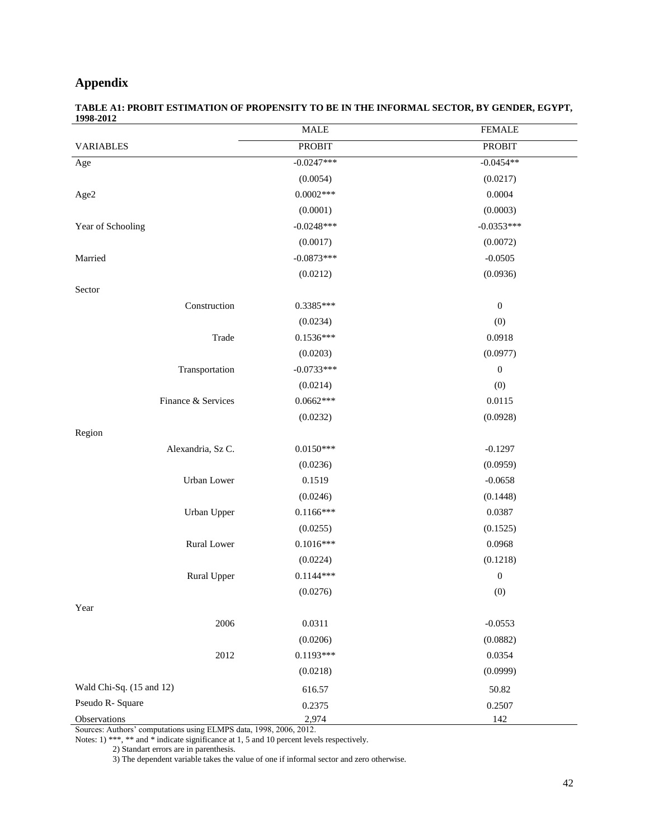### **Appendix**

| TABLE A1: PROBIT ESTIMATION OF PROPENSITY TO BE IN THE INFORMAL SECTOR. BY GENDER. EGYPT. |  |
|-------------------------------------------------------------------------------------------|--|
| 1998-2012                                                                                 |  |

|                          | <b>MALE</b>   | <b>FEMALE</b>    |
|--------------------------|---------------|------------------|
| <b>VARIABLES</b>         | <b>PROBIT</b> | <b>PROBIT</b>    |
| Age                      | $-0.0247***$  | $-0.0454**$      |
|                          | (0.0054)      | (0.0217)         |
| Age2                     | $0.0002***$   | 0.0004           |
|                          | (0.0001)      | (0.0003)         |
| Year of Schooling        | $-0.0248***$  | $-0.0353***$     |
|                          | (0.0017)      | (0.0072)         |
| Married                  | $-0.0873***$  | $-0.0505$        |
|                          | (0.0212)      | (0.0936)         |
| Sector                   |               |                  |
| Construction             | $0.3385***$   | $\boldsymbol{0}$ |
|                          | (0.0234)      | (0)              |
| Trade                    | $0.1536***$   | 0.0918           |
|                          | (0.0203)      | (0.0977)         |
| Transportation           | $-0.0733***$  | $\boldsymbol{0}$ |
|                          | (0.0214)      | (0)              |
| Finance & Services       | $0.0662***$   | 0.0115           |
|                          | (0.0232)      | (0.0928)         |
| Region                   |               |                  |
| Alexandria, Sz C.        | $0.0150***$   | $-0.1297$        |
|                          | (0.0236)      | (0.0959)         |
| Urban Lower              | 0.1519        | $-0.0658$        |
|                          | (0.0246)      | (0.1448)         |
| Urban Upper              | $0.1166***$   | 0.0387           |
|                          | (0.0255)      | (0.1525)         |
| Rural Lower              | $0.1016***$   | 0.0968           |
|                          | (0.0224)      | (0.1218)         |
| Rural Upper              | $0.1144***$   | $\boldsymbol{0}$ |
|                          | (0.0276)      | (0)              |
| Year                     |               |                  |
| 2006                     | 0.0311        | $-0.0553$        |
|                          | (0.0206)      | (0.0882)         |
| 2012                     | $0.1193***$   | 0.0354           |
|                          | (0.0218)      | (0.0999)         |
| Wald Chi-Sq. (15 and 12) | 616.57        | 50.82            |
| Pseudo R- Square         | 0.2375        | 0.2507           |
| Observations             | 2,974         | 142              |

Sources: Authors' computations using ELMPS data, 1998, 2006, 2012.

Notes: 1) \*\*\*, \*\* and \* indicate significance at 1, 5 and 10 percent levels respectively.

2) Standart errors are in parenthesis.

3) The dependent variable takes the value of one if informal sector and zero otherwise.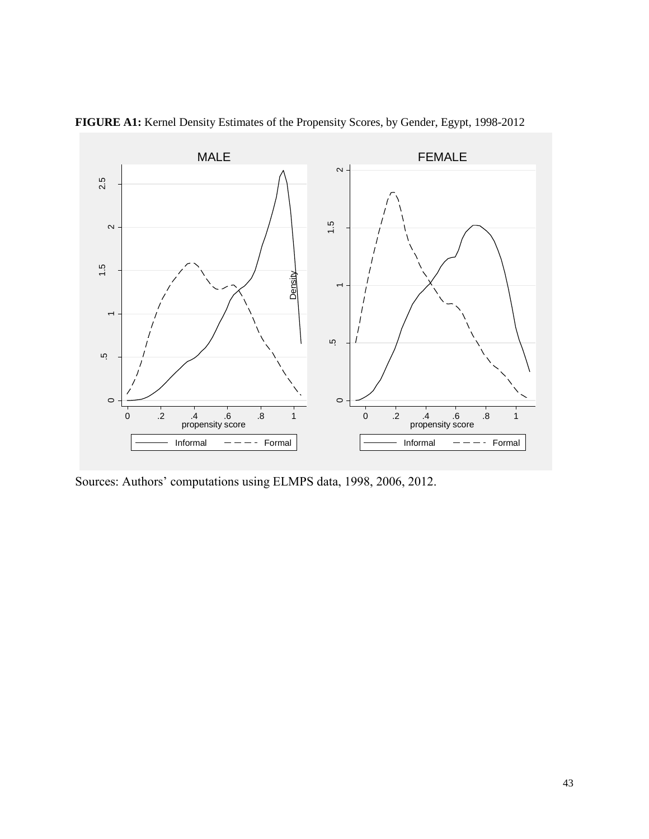

**FIGURE A1:** Kernel Density Estimates of the Propensity Scores, by Gender, Egypt, 1998-2012

Sources: Authors' computations using ELMPS data, 1998, 2006, 2012.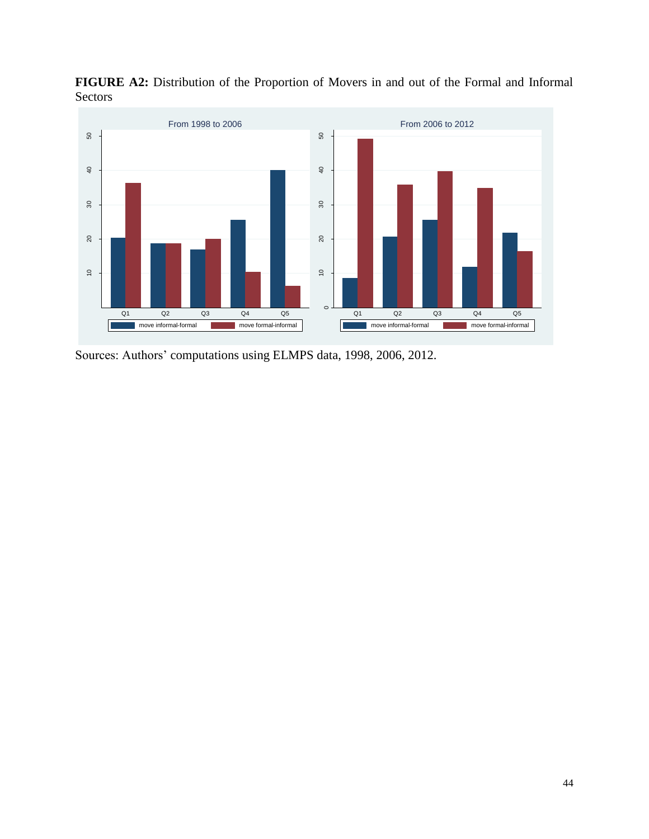

**FIGURE A2:** Distribution of the Proportion of Movers in and out of the Formal and Informal Sectors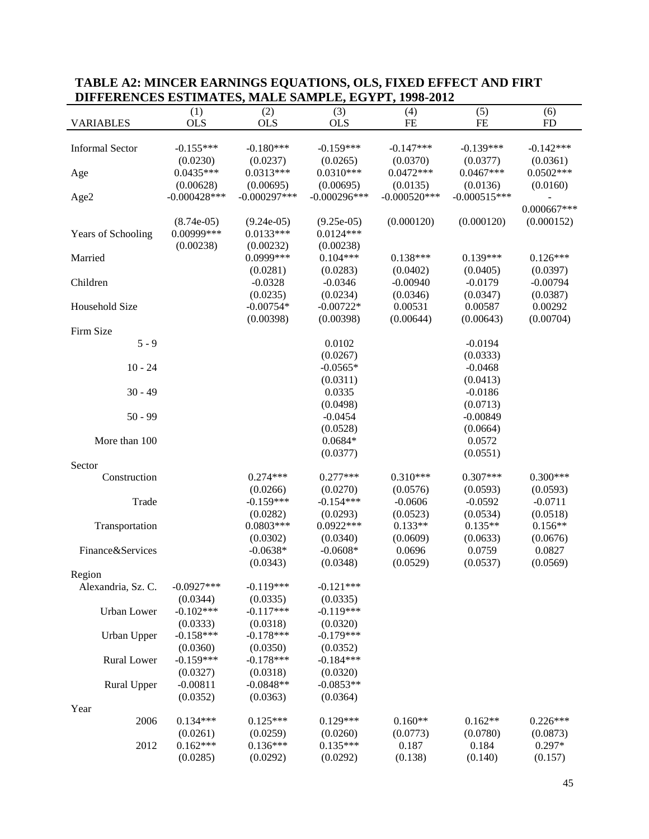| DIFFERENCES ESTIMATES, MADE SAMI DE, EGTI I, 1770-2012 |                |                |                |                |                |               |
|--------------------------------------------------------|----------------|----------------|----------------|----------------|----------------|---------------|
|                                                        | (1)            | (2)            | (3)            | (4)            | (5)            | (6)           |
| <b>VARIABLES</b>                                       | <b>OLS</b>     | <b>OLS</b>     | <b>OLS</b>     | $\rm FE$       | $FE$           | <b>FD</b>     |
|                                                        |                |                |                |                |                |               |
| <b>Informal Sector</b>                                 | $-0.155***$    | $-0.180***$    | $-0.159***$    | $-0.147***$    | $-0.139***$    | $-0.142***$   |
|                                                        | (0.0230)       | (0.0237)       | (0.0265)       | (0.0370)       | (0.0377)       | (0.0361)      |
| Age                                                    | $0.0435***$    | $0.0313***$    | $0.0310***$    | $0.0472***$    | $0.0467***$    | $0.0502***$   |
|                                                        | (0.00628)      | (0.00695)      | (0.00695)      | (0.0135)       | (0.0136)       | (0.0160)      |
| Age2                                                   | $-0.000428***$ | $-0.000297***$ | $-0.000296***$ | $-0.000520***$ | $-0.000515***$ |               |
|                                                        |                |                |                |                |                | $0.000667***$ |
|                                                        | $(8.74e-05)$   | $(9.24e-05)$   | $(9.25e-05)$   | (0.000120)     | (0.000120)     | (0.000152)    |
| Years of Schooling                                     | 0.00999***     | $0.0133***$    | $0.0124***$    |                |                |               |
|                                                        | (0.00238)      | (0.00232)      | (0.00238)      |                |                |               |
| Married                                                |                | 0.0999***      | $0.104***$     | $0.138***$     | $0.139***$     | $0.126***$    |
|                                                        |                | (0.0281)       | (0.0283)       | (0.0402)       | (0.0405)       | (0.0397)      |
| Children                                               |                | $-0.0328$      | $-0.0346$      | $-0.00940$     | $-0.0179$      | $-0.00794$    |
|                                                        |                | (0.0235)       | (0.0234)       | (0.0346)       | (0.0347)       | (0.0387)      |
| Household Size                                         |                | $-0.00754*$    | $-0.00722*$    | 0.00531        | 0.00587        | 0.00292       |
|                                                        |                | (0.00398)      | (0.00398)      | (0.00644)      | (0.00643)      | (0.00704)     |
| Firm Size                                              |                |                |                |                |                |               |
| $5 - 9$                                                |                |                | 0.0102         |                | $-0.0194$      |               |
|                                                        |                |                | (0.0267)       |                | (0.0333)       |               |
| $10 - 24$                                              |                |                | $-0.0565*$     |                | $-0.0468$      |               |
|                                                        |                |                | (0.0311)       |                | (0.0413)       |               |
| $30 - 49$                                              |                |                | 0.0335         |                |                |               |
|                                                        |                |                |                |                | $-0.0186$      |               |
|                                                        |                |                | (0.0498)       |                | (0.0713)       |               |
| $50 - 99$                                              |                |                | $-0.0454$      |                | $-0.00849$     |               |
|                                                        |                |                | (0.0528)       |                | (0.0664)       |               |
| More than 100                                          |                |                | $0.0684*$      |                | 0.0572         |               |
|                                                        |                |                | (0.0377)       |                | (0.0551)       |               |
| Sector                                                 |                |                |                |                |                |               |
| Construction                                           |                | $0.274***$     | $0.277***$     | $0.310***$     | $0.307***$     | $0.300***$    |
|                                                        |                | (0.0266)       | (0.0270)       | (0.0576)       | (0.0593)       | (0.0593)      |
| Trade                                                  |                | $-0.159***$    | $-0.154***$    | $-0.0606$      | $-0.0592$      | $-0.0711$     |
|                                                        |                | (0.0282)       | (0.0293)       | (0.0523)       | (0.0534)       | (0.0518)      |
| Transportation                                         |                | $0.0803***$    | $0.0922***$    | $0.133**$      | $0.135**$      | $0.156**$     |
|                                                        |                | (0.0302)       | (0.0340)       | (0.0609)       | (0.0633)       | (0.0676)      |
| Finance&Services                                       |                | $-0.0638*$     | $-0.0608*$     | 0.0696         | 0.0759         | 0.0827        |
|                                                        |                | (0.0343)       | (0.0348)       | (0.0529)       | (0.0537)       | (0.0569)      |
| Region                                                 |                |                |                |                |                |               |
| Alexandria, Sz. C.                                     | $-0.0927***$   | $-0.119***$    | $-0.121***$    |                |                |               |
|                                                        | (0.0344)       | (0.0335)       | (0.0335)       |                |                |               |
| Urban Lower                                            | $-0.102***$    | $-0.117***$    | $-0.119***$    |                |                |               |
|                                                        | (0.0333)       | (0.0318)       | (0.0320)       |                |                |               |
| <b>Urban Upper</b>                                     | $-0.158***$    | $-0.178***$    | $-0.179***$    |                |                |               |
|                                                        | (0.0360)       | (0.0350)       | (0.0352)       |                |                |               |
| Rural Lower                                            | $-0.159***$    | $-0.178***$    | $-0.184***$    |                |                |               |
|                                                        | (0.0327)       | (0.0318)       | (0.0320)       |                |                |               |
| Rural Upper                                            | $-0.00811$     | $-0.0848**$    | $-0.0853**$    |                |                |               |
|                                                        | (0.0352)       | (0.0363)       | (0.0364)       |                |                |               |
| Year                                                   |                |                |                |                |                |               |
| 2006                                                   | $0.134***$     | $0.125***$     | $0.129***$     | $0.160**$      | $0.162**$      | $0.226***$    |
|                                                        | (0.0261)       | (0.0259)       | (0.0260)       | (0.0773)       | (0.0780)       | (0.0873)      |
| 2012                                                   | $0.162***$     | $0.136***$     | $0.135***$     | 0.187          | 0.184          | $0.297*$      |
|                                                        | (0.0285)       | (0.0292)       | (0.0292)       | (0.138)        | (0.140)        | (0.157)       |

### **TABLE A2: MINCER EARNINGS EQUATIONS, OLS, FIXED EFFECT AND FIRT DIFFERENCES ESTIMATES, MALE SAMPLE, EGYPT, 1998-2012**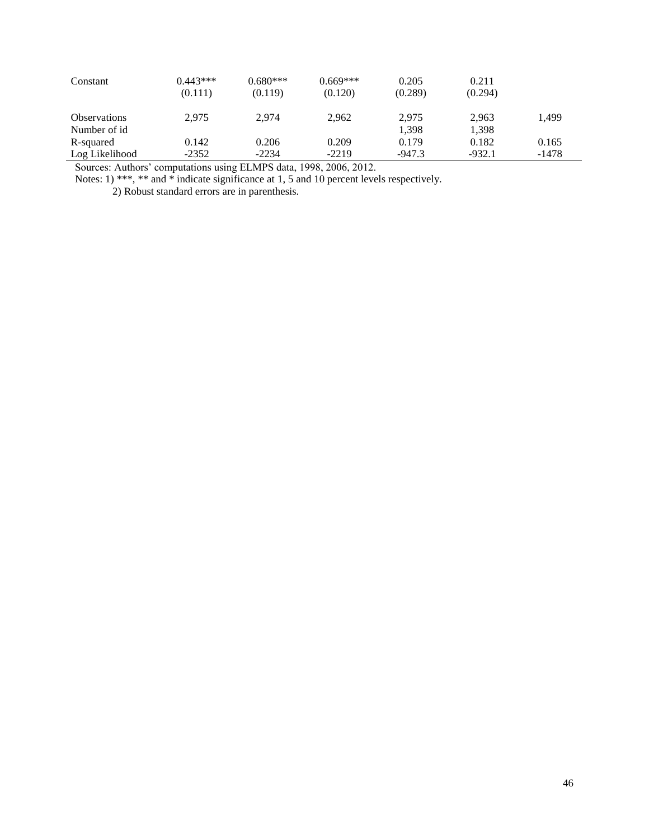| Constant            | $0.443***$<br>(0.111) | $0.680***$<br>(0.119) | $0.669***$<br>(0.120) | 0.205<br>(0.289) | 0.211<br>(0.294) |         |
|---------------------|-----------------------|-----------------------|-----------------------|------------------|------------------|---------|
| <b>Observations</b> | 2.975                 | 2.974                 | 2,962                 | 2.975            | 2.963            | 1,499   |
| Number of id        |                       |                       |                       | 1,398            | 1,398            |         |
| R-squared           | 0.142                 | 0.206                 | 0.209                 | 0.179            | 0.182            | 0.165   |
| Log Likelihood      | $-2352$               | $-2234$               | $-2219$               | $-947.3$         | $-932.1$         | $-1478$ |

Notes: 1) \*\*\*, \*\* and \* indicate significance at 1, 5 and 10 percent levels respectively.

2) Robust standard errors are in parenthesis.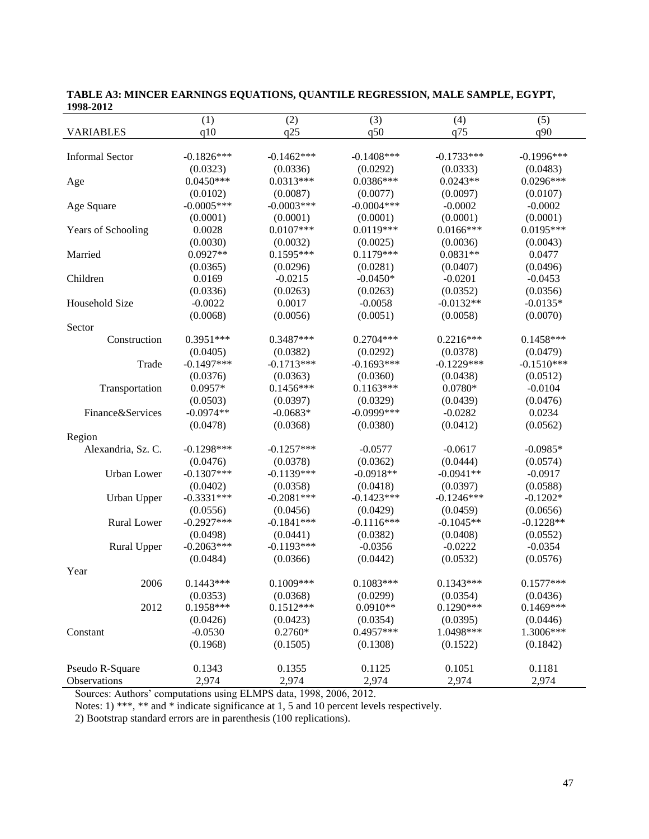| 1770-4014              |              |              |               |              |              |
|------------------------|--------------|--------------|---------------|--------------|--------------|
|                        | (1)          | (2)          | (3)           | (4)          | (5)          |
| <b>VARIABLES</b>       | q10          | q25          | q50           | q75          | q90          |
|                        |              |              |               |              |              |
| <b>Informal Sector</b> | $-0.1826***$ | $-0.1462***$ | $-0.1408$ *** | $-0.1733***$ | $-0.1996***$ |
|                        | (0.0323)     | (0.0336)     | (0.0292)      | (0.0333)     | (0.0483)     |
| Age                    | $0.0450***$  | $0.0313***$  | $0.0386***$   | $0.0243**$   | $0.0296***$  |
|                        | (0.0102)     | (0.0087)     | (0.0077)      | (0.0097)     | (0.0107)     |
| Age Square             | $-0.0005***$ | $-0.0003***$ | $-0.0004***$  | $-0.0002$    | $-0.0002$    |
|                        | (0.0001)     | (0.0001)     | (0.0001)      | (0.0001)     | (0.0001)     |
| Years of Schooling     | 0.0028       | $0.0107***$  | $0.0119***$   | $0.0166***$  | $0.0195***$  |
|                        | (0.0030)     | (0.0032)     | (0.0025)      | (0.0036)     | (0.0043)     |
| Married                | $0.0927**$   | $0.1595***$  | $0.1179***$   | $0.0831**$   | 0.0477       |
|                        | (0.0365)     | (0.0296)     | (0.0281)      | (0.0407)     | (0.0496)     |
| Children               | 0.0169       | $-0.0215$    | $-0.0450*$    | $-0.0201$    | $-0.0453$    |
|                        | (0.0336)     | (0.0263)     | (0.0263)      | (0.0352)     | (0.0356)     |
| Household Size         | $-0.0022$    | 0.0017       | $-0.0058$     | $-0.0132**$  | $-0.0135*$   |
|                        | (0.0068)     | (0.0056)     | (0.0051)      | (0.0058)     | (0.0070)     |
| Sector                 |              |              |               |              |              |
| Construction           | $0.3951***$  | $0.3487***$  | $0.2704***$   | $0.2216***$  | $0.1458***$  |
|                        | (0.0405)     | (0.0382)     | (0.0292)      | (0.0378)     | (0.0479)     |
| Trade                  | $-0.1497***$ | $-0.1713***$ | $-0.1693***$  | $-0.1229***$ | $-0.1510***$ |
|                        | (0.0376)     | (0.0363)     | (0.0360)      | (0.0438)     | (0.0512)     |
| Transportation         | $0.0957*$    | $0.1456***$  | $0.1163***$   | $0.0780*$    | $-0.0104$    |
|                        | (0.0503)     | (0.0397)     | (0.0329)      | (0.0439)     | (0.0476)     |
| Finance&Services       | $-0.0974**$  | $-0.0683*$   | $-0.0999$ *** | $-0.0282$    | 0.0234       |
|                        | (0.0478)     | (0.0368)     | (0.0380)      | (0.0412)     | (0.0562)     |
| Region                 |              |              |               |              |              |
| Alexandria, Sz. C.     | $-0.1298***$ | $-0.1257***$ | $-0.0577$     | $-0.0617$    | $-0.0985*$   |
|                        | (0.0476)     | (0.0378)     | (0.0362)      | (0.0444)     | (0.0574)     |
| <b>Urban</b> Lower     | $-0.1307***$ | $-0.1139***$ | $-0.0918**$   | $-0.0941**$  | $-0.0917$    |
|                        | (0.0402)     | (0.0358)     | (0.0418)      | (0.0397)     | (0.0588)     |
| Urban Upper            | $-0.3331***$ | $-0.2081***$ | $-0.1423***$  | $-0.1246***$ | $-0.1202*$   |
|                        | (0.0556)     | (0.0456)     | (0.0429)      | (0.0459)     | (0.0656)     |
| <b>Rural Lower</b>     | $-0.2927***$ | $-0.1841***$ | $-0.1116***$  | $-0.1045**$  | $-0.1228**$  |
|                        | (0.0498)     | (0.0441)     | (0.0382)      | (0.0408)     | (0.0552)     |
| Rural Upper            | $-0.2063***$ | $-0.1193***$ | $-0.0356$     | $-0.0222$    | $-0.0354$    |
|                        | (0.0484)     | (0.0366)     | (0.0442)      | (0.0532)     | (0.0576)     |
| Year                   |              |              |               |              |              |
| 2006                   | $0.1443***$  | 0.1009***    | $0.1083***$   | $0.1343***$  | $0.1577***$  |
|                        | (0.0353)     | (0.0368)     | (0.0299)      | (0.0354)     | (0.0436)     |
| 2012                   | $0.1958***$  | $0.1512***$  | $0.0910**$    | $0.1290***$  | $0.1469***$  |
|                        | (0.0426)     | (0.0423)     | (0.0354)      | (0.0395)     | (0.0446)     |
| Constant               | $-0.0530$    | $0.2760*$    | 0.4957***     | 1.0498***    | 1.3006***    |
|                        | (0.1968)     | (0.1505)     | (0.1308)      | (0.1522)     | (0.1842)     |
|                        |              |              |               |              |              |
| Pseudo R-Square        | 0.1343       | 0.1355       | 0.1125        | 0.1051       | 0.1181       |
| Observations           | 2,974        | 2,974        | 2,974         | 2,974        | 2,974        |

**TABLE A3: MINCER EARNINGS EQUATIONS, QUANTILE REGRESSION, MALE SAMPLE, EGYPT, 1998-2012**

Notes: 1) \*\*\*, \*\* and \* indicate significance at 1, 5 and 10 percent levels respectively.

2) Bootstrap standard errors are in parenthesis (100 replications).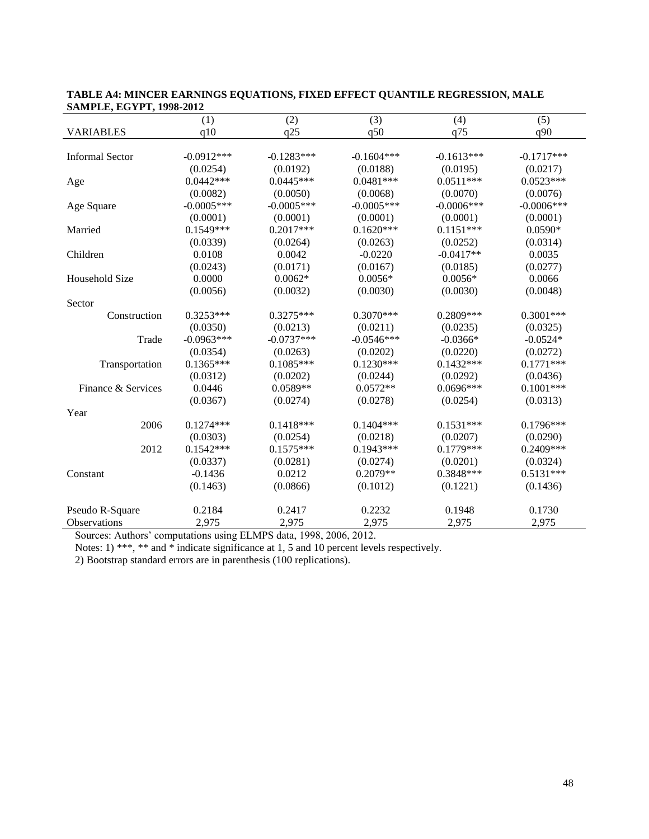| 571.011 LE, EU II I, 1770-2012 |              |              |              |              |              |
|--------------------------------|--------------|--------------|--------------|--------------|--------------|
|                                | (1)          | (2)          | (3)          | (4)          | (5)          |
| <b>VARIABLES</b>               | q10          | q25          | q50          | q75          | q90          |
|                                |              |              |              |              |              |
| <b>Informal Sector</b>         | $-0.0912***$ | $-0.1283***$ | $-0.1604***$ | $-0.1613***$ | $-0.1717***$ |
|                                | (0.0254)     | (0.0192)     | (0.0188)     | (0.0195)     | (0.0217)     |
| Age                            | $0.0442***$  | $0.0445***$  | $0.0481***$  | $0.0511***$  | $0.0523***$  |
|                                | (0.0082)     | (0.0050)     | (0.0068)     | (0.0070)     | (0.0076)     |
| Age Square                     | $-0.0005***$ | $-0.0005***$ | $-0.0005***$ | $-0.0006***$ | $-0.0006***$ |
|                                | (0.0001)     | (0.0001)     | (0.0001)     | (0.0001)     | (0.0001)     |
| Married                        | $0.1549***$  | $0.2017***$  | $0.1620***$  | $0.1151***$  | $0.0590*$    |
|                                | (0.0339)     | (0.0264)     | (0.0263)     | (0.0252)     | (0.0314)     |
| Children                       | 0.0108       | 0.0042       | $-0.0220$    | $-0.0417**$  | 0.0035       |
|                                | (0.0243)     | (0.0171)     | (0.0167)     | (0.0185)     | (0.0277)     |
| Household Size                 | 0.0000       | $0.0062*$    | $0.0056*$    | $0.0056*$    | 0.0066       |
|                                | (0.0056)     | (0.0032)     | (0.0030)     | (0.0030)     | (0.0048)     |
| Sector                         |              |              |              |              |              |
| Construction                   | $0.3253***$  | $0.3275***$  | $0.3070***$  | 0.2809***    | $0.3001***$  |
|                                | (0.0350)     | (0.0213)     | (0.0211)     | (0.0235)     | (0.0325)     |
| Trade                          | $-0.0963***$ | $-0.0737***$ | $-0.0546***$ | $-0.0366*$   | $-0.0524*$   |
|                                | (0.0354)     | (0.0263)     | (0.0202)     | (0.0220)     | (0.0272)     |
| Transportation                 | $0.1365***$  | $0.1085***$  | $0.1230***$  | $0.1432***$  | $0.1771***$  |
|                                | (0.0312)     | (0.0202)     | (0.0244)     | (0.0292)     | (0.0436)     |
| Finance & Services             | 0.0446       | $0.0589**$   | $0.0572**$   | $0.0696***$  | $0.1001***$  |
|                                | (0.0367)     | (0.0274)     | (0.0278)     | (0.0254)     | (0.0313)     |
| Year                           |              |              |              |              |              |
| 2006                           | $0.1274***$  | $0.1418***$  | $0.1404***$  | $0.1531***$  | $0.1796***$  |
|                                | (0.0303)     | (0.0254)     | (0.0218)     | (0.0207)     | (0.0290)     |
| 2012                           | $0.1542***$  | $0.1575***$  | $0.1943***$  | $0.1779***$  | $0.2409***$  |
|                                | (0.0337)     | (0.0281)     | (0.0274)     | (0.0201)     | (0.0324)     |
| Constant                       | $-0.1436$    | 0.0212       | $0.2079**$   | 0.3848***    | $0.5131***$  |
|                                | (0.1463)     | (0.0866)     | (0.1012)     | (0.1221)     | (0.1436)     |
| Pseudo R-Square                | 0.2184       | 0.2417       | 0.2232       | 0.1948       | 0.1730       |
| <b>Observations</b>            | 2,975        | 2,975        | 2,975        | 2,975        | 2,975        |

|                                 | TABLE A4: MINCER EARNINGS EQUATIONS, FIXED EFFECT QUANTILE REGRESSION, MALE |
|---------------------------------|-----------------------------------------------------------------------------|
| <b>SAMPLE, EGYPT, 1998-2012</b> |                                                                             |

Notes: 1) \*\*\*, \*\* and \* indicate significance at 1, 5 and 10 percent levels respectively.

2) Bootstrap standard errors are in parenthesis (100 replications).